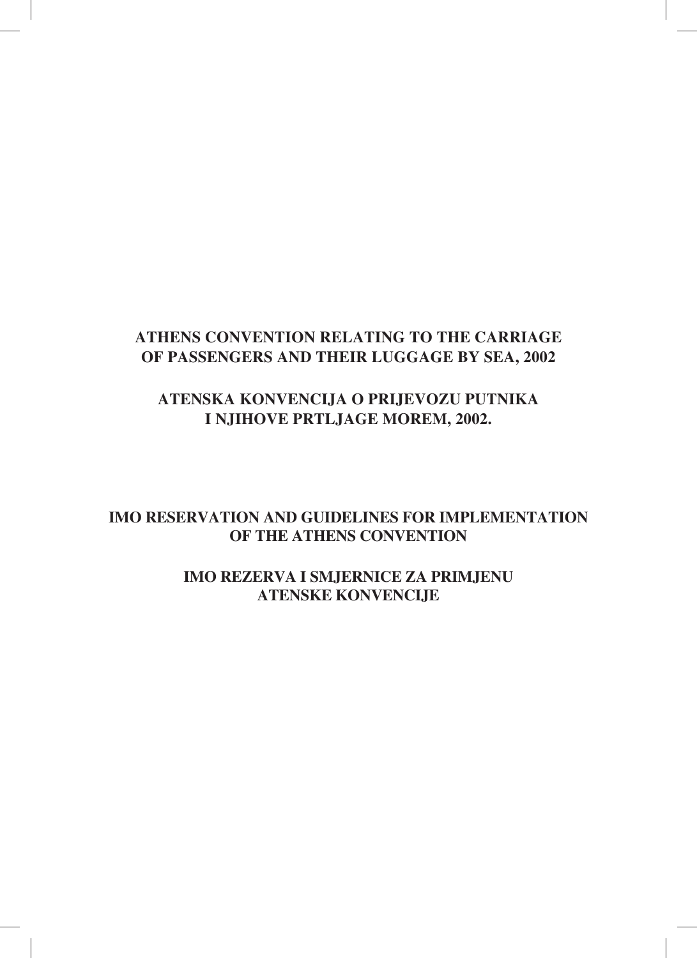# **ATHENS CONVENTION RELATING TO THE CARRIAGE OF PASSENGERS AND THEIR LUGGAGE BY SEA, 2002**

# **ATENSKA KONVENCIJA O PRIJEVOZU PUTNIKA I NJIHOVE PRTLJAGE MOREM, 2002.**

## **IMO RESERVATION AND GUIDELINES FOR IMPLEMENTATION OF THE ATHENS CONVENTION**

## **IMO REZERVA I SMJERNICE ZA PRIMJENU ATENSKE KONVENCIJE**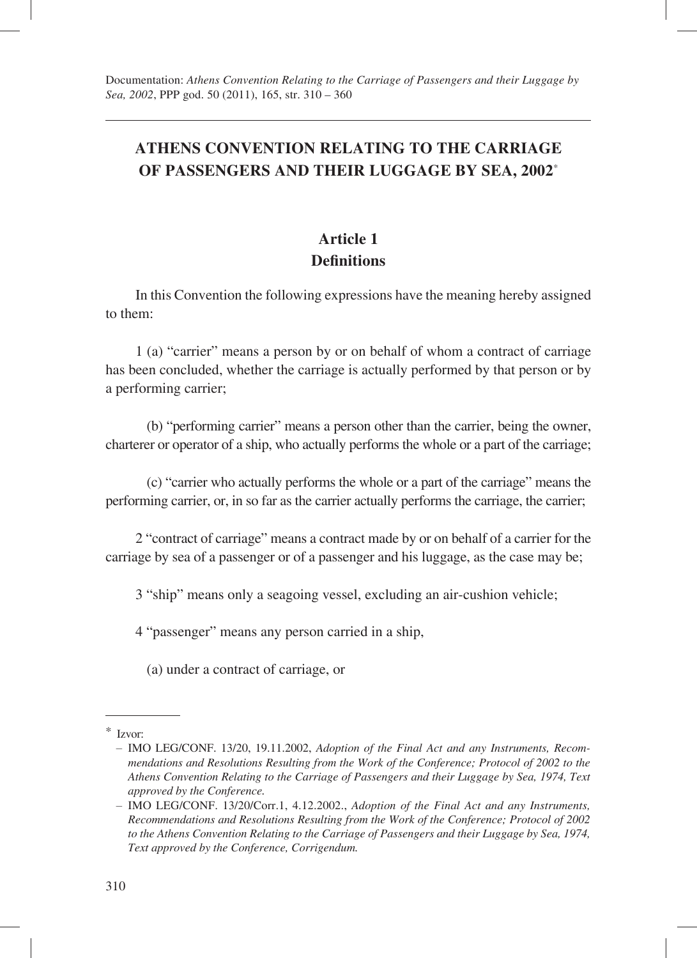# **ATHENS CONVENTION RELATING TO THE CARRIAGE OF PASSENGERS AND THEIR LUGGAGE BY SEA, 2002**\*

# **Article 1 Definitions**

In this Convention the following expressions have the meaning hereby assigned to them:

1 (a) "carrier" means a person by or on behalf of whom a contract of carriage has been concluded, whether the carriage is actually performed by that person or by a performing carrier;

(b) "performing carrier" means a person other than the carrier, being the owner, charterer or operator of a ship, who actually performs the whole or a part of the carriage;

(c) "carrier who actually performs the whole or a part of the carriage" means the performing carrier, or, in so far as the carrier actually performs the carriage, the carrier;

2 "contract of carriage" means a contract made by or on behalf of a carrier for the carriage by sea of a passenger or of a passenger and his luggage, as the case may be;

3 "ship" means only a seagoing vessel, excluding an air-cushion vehicle;

4 "passenger" means any person carried in a ship,

(a) under a contract of carriage, or

<sup>\*</sup> Izvor:

<sup>–</sup> IMO LEG/CONF. 13/20, 19.11.2002, *Adoption of the Final Act and any Instruments, Recommendations and Resolutions Resulting from the Work of the Conference; Protocol of 2002 to the Athens Convention Relating to the Carriage of Passengers and their Luggage by Sea, 1974, Text approved by the Conference.*

<sup>–</sup> IMO LEG/CONF. 13/20/Corr.1, 4.12.2002., *Adoption of the Final Act and any Instruments, Recommendations and Resolutions Resulting from the Work of the Conference; Protocol of 2002 to the Athens Convention Relating to the Carriage of Passengers and their Luggage by Sea, 1974, Text approved by the Conference, Corrigendum.*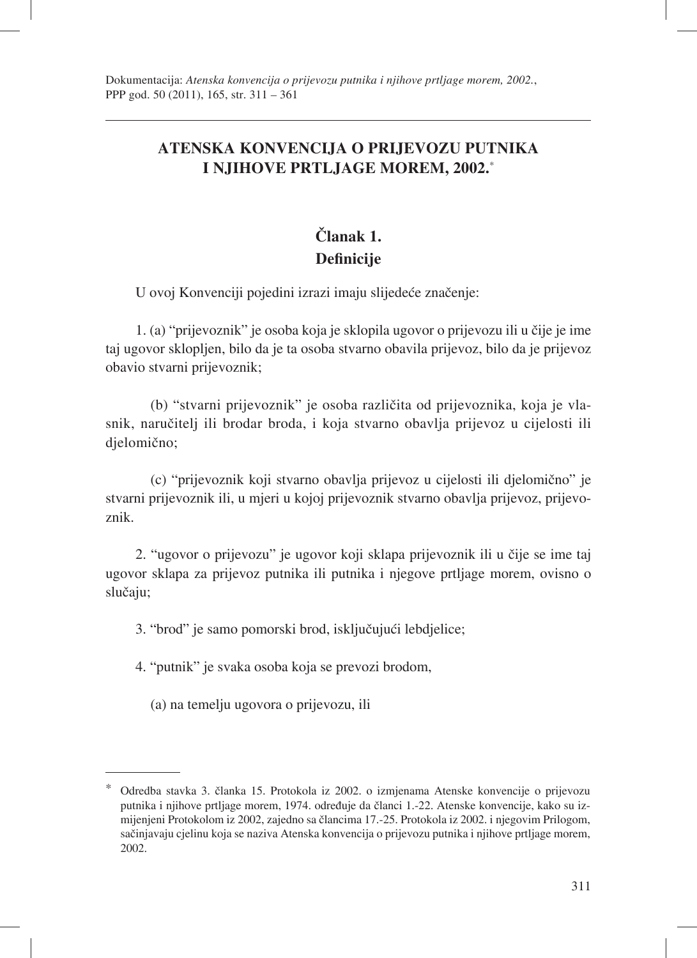## **ATENSKA KONVENCIJA O PRIJEVOZU PUTNIKA I NJIHOVE PRTLJAGE MOREM, 2002.**\*

# **Članak 1. Defi nicije**

U ovoj Konvenciji pojedini izrazi imaju slijedeće značenje:

1. (a) "prijevoznik" je osoba koja je sklopila ugovor o prijevozu ili u čije je ime taj ugovor sklopljen, bilo da je ta osoba stvarno obavila prijevoz, bilo da je prijevoz obavio stvarni prijevoznik;

(b) "stvarni prijevoznik" je osoba različita od prijevoznika, koja je vlasnik, naručitelj ili brodar broda, i koja stvarno obavlja prijevoz u cijelosti ili djelomično;

(c) "prijevoznik koji stvarno obavlja prijevoz u cijelosti ili djelomično" je stvarni prijevoznik ili, u mjeri u kojoj prijevoznik stvarno obavlja prijevoz, prijevoznik.

2. "ugovor o prijevozu" je ugovor koji sklapa prijevoznik ili u čije se ime taj ugovor sklapa za prijevoz putnika ili putnika i njegove prtljage morem, ovisno o slučaju;

3. "brod" je samo pomorski brod, isključujući lebdjelice;

4. "putnik" je svaka osoba koja se prevozi brodom,

(a) na temelju ugovora o prijevozu, ili

<sup>\*</sup> Odredba stavka 3. članka 15. Protokola iz 2002. o izmjenama Atenske konvencije o prijevozu putnika i njihove prtljage morem, 1974. određuje da članci 1.-22. Atenske konvencije, kako su izmijenjeni Protokolom iz 2002, zajedno sa člancima 17.-25. Protokola iz 2002. i njegovim Prilogom, sačinjavaju cjelinu koja se naziva Atenska konvencija o prijevozu putnika i njihove prtljage morem, 2002.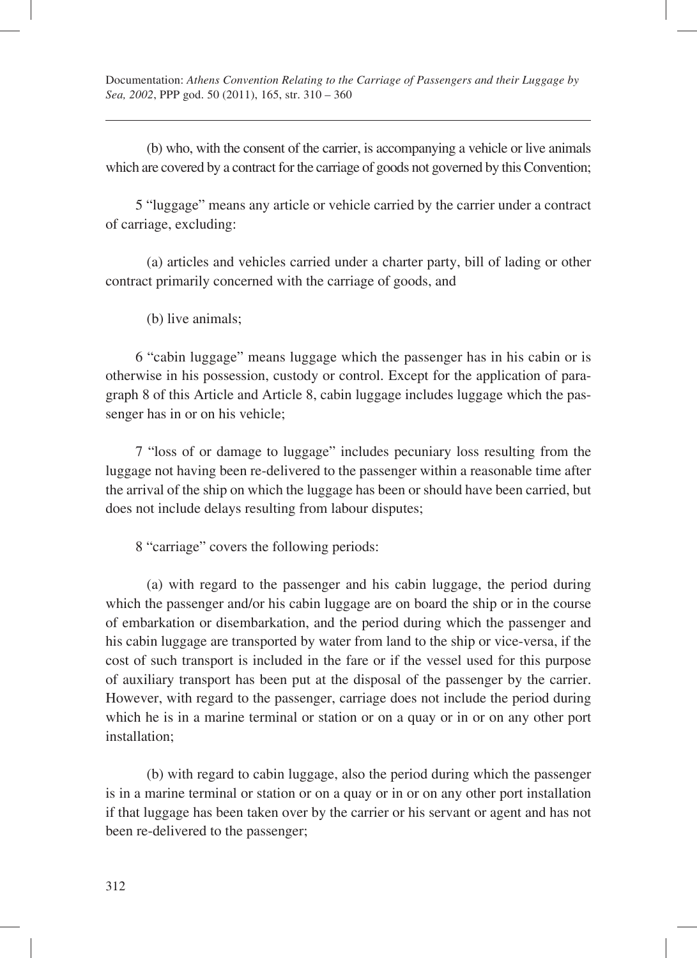(b) who, with the consent of the carrier, is accompanying a vehicle or live animals which are covered by a contract for the carriage of goods not governed by this Convention;

5 "luggage" means any article or vehicle carried by the carrier under a contract of carriage, excluding:

(a) articles and vehicles carried under a charter party, bill of lading or other contract primarily concerned with the carriage of goods, and

(b) live animals;

6 "cabin luggage" means luggage which the passenger has in his cabin or is otherwise in his possession, custody or control. Except for the application of paragraph 8 of this Article and Article 8, cabin luggage includes luggage which the passenger has in or on his vehicle;

7 "loss of or damage to luggage" includes pecuniary loss resulting from the luggage not having been re-delivered to the passenger within a reasonable time after the arrival of the ship on which the luggage has been or should have been carried, but does not include delays resulting from labour disputes;

8 "carriage" covers the following periods:

(a) with regard to the passenger and his cabin luggage, the period during which the passenger and/or his cabin luggage are on board the ship or in the course of embarkation or disembarkation, and the period during which the passenger and his cabin luggage are transported by water from land to the ship or vice-versa, if the cost of such transport is included in the fare or if the vessel used for this purpose of auxiliary transport has been put at the disposal of the passenger by the carrier. However, with regard to the passenger, carriage does not include the period during which he is in a marine terminal or station or on a quay or in or on any other port installation;

(b) with regard to cabin luggage, also the period during which the passenger is in a marine terminal or station or on a quay or in or on any other port installation if that luggage has been taken over by the carrier or his servant or agent and has not been re-delivered to the passenger;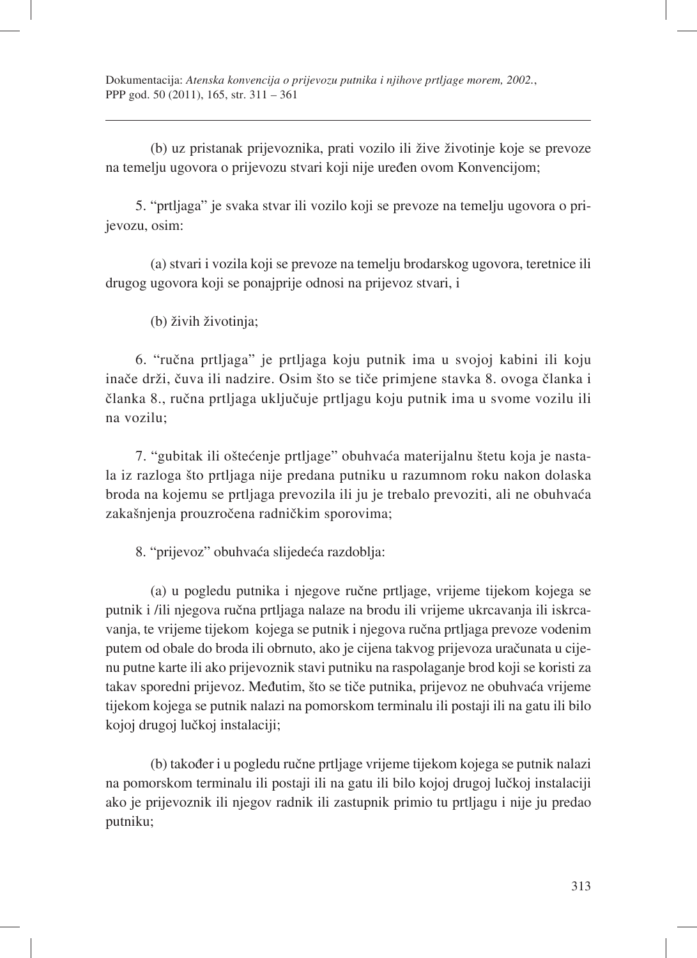(b) uz pristanak prijevoznika, prati vozilo ili žive životinje koje se prevoze na temelju ugovora o prijevozu stvari koji nije uređen ovom Konvencijom;

5. "prtljaga" je svaka stvar ili vozilo koji se prevoze na temelju ugovora o prijevozu, osim:

(a) stvari i vozila koji se prevoze na temelju brodarskog ugovora, teretnice ili drugog ugovora koji se ponajprije odnosi na prijevoz stvari, i

(b) živih životinja;

6. "ručna prtljaga" je prtljaga koju putnik ima u svojoj kabini ili koju inače drži, čuva ili nadzire. Osim što se tiče primjene stavka 8. ovoga članka i članka 8., ručna prtljaga uključuje prtljagu koju putnik ima u svome vozilu ili na vozilu;

7. "gubitak ili oštećenje prtljage" obuhvaća materijalnu štetu koja je nastala iz razloga što prtljaga nije predana putniku u razumnom roku nakon dolaska broda na kojemu se prtljaga prevozila ili ju je trebalo prevoziti, ali ne obuhvaća zakašnjenja prouzročena radničkim sporovima;

8. "prijevoz" obuhvaća slijedeća razdoblja:

(a) u pogledu putnika i njegove ručne prtljage, vrijeme tijekom kojega se putnik i /ili njegova ručna prtljaga nalaze na brodu ili vrijeme ukrcavanja ili iskrcavanja, te vrijeme tijekom kojega se putnik i njegova ručna prtljaga prevoze vodenim putem od obale do broda ili obrnuto, ako je cijena takvog prijevoza uračunata u cijenu putne karte ili ako prijevoznik stavi putniku na raspolaganje brod koji se koristi za takav sporedni prijevoz. Međutim, što se tiče putnika, prijevoz ne obuhvaća vrijeme tijekom kojega se putnik nalazi na pomorskom terminalu ili postaji ili na gatu ili bilo kojoj drugoj lučkoj instalaciji;

(b) također i u pogledu ručne prtljage vrijeme tijekom kojega se putnik nalazi na pomorskom terminalu ili postaji ili na gatu ili bilo kojoj drugoj lučkoj instalaciji ako je prijevoznik ili njegov radnik ili zastupnik primio tu prtljagu i nije ju predao putniku;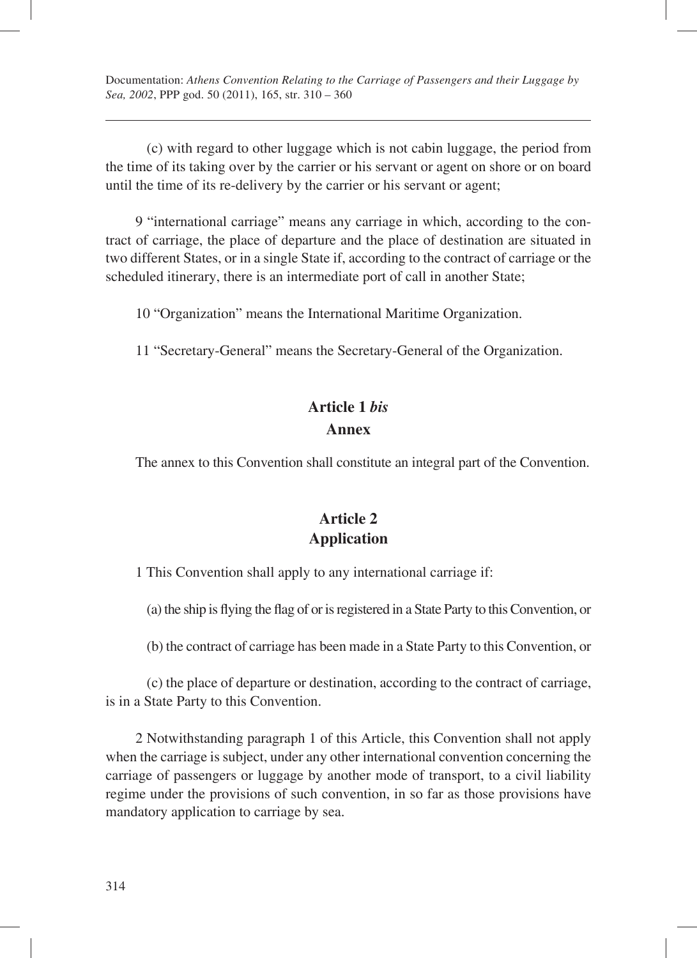(c) with regard to other luggage which is not cabin luggage, the period from the time of its taking over by the carrier or his servant or agent on shore or on board until the time of its re-delivery by the carrier or his servant or agent;

9 "international carriage" means any carriage in which, according to the contract of carriage, the place of departure and the place of destination are situated in two different States, or in a single State if, according to the contract of carriage or the scheduled itinerary, there is an intermediate port of call in another State;

10 "Organization" means the International Maritime Organization.

11 "Secretary-General" means the Secretary-General of the Organization.

# **Article 1** *bis* **Annex**

The annex to this Convention shall constitute an integral part of the Convention.

# **Article 2 Application**

1 This Convention shall apply to any international carriage if:

(a) the ship is flying the flag of or is registered in a State Party to this Convention, or

(b) the contract of carriage has been made in a State Party to this Convention, or

(c) the place of departure or destination, according to the contract of carriage, is in a State Party to this Convention.

2 Notwithstanding paragraph 1 of this Article, this Convention shall not apply when the carriage is subject, under any other international convention concerning the carriage of passengers or luggage by another mode of transport, to a civil liability regime under the provisions of such convention, in so far as those provisions have mandatory application to carriage by sea.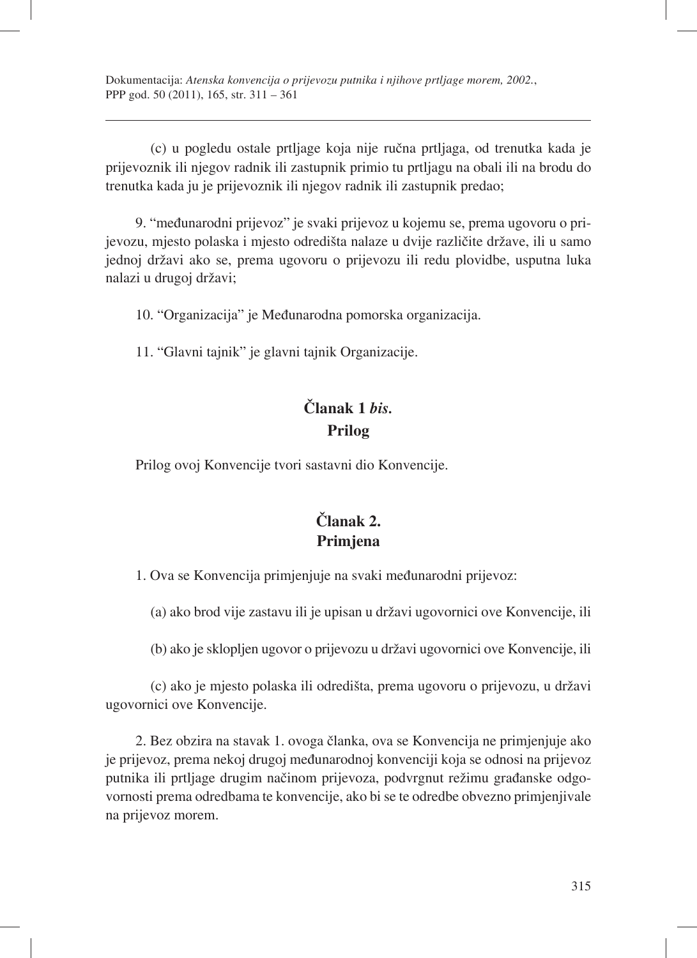(c) u pogledu ostale prtljage koja nije ručna prtljaga, od trenutka kada je prijevoznik ili njegov radnik ili zastupnik primio tu prtljagu na obali ili na brodu do trenutka kada ju je prijevoznik ili njegov radnik ili zastupnik predao;

9. "međunarodni prijevoz" je svaki prijevoz u kojemu se, prema ugovoru o prijevozu, mjesto polaska i mjesto odredišta nalaze u dvije različite države, ili u samo jednoj državi ako se, prema ugovoru o prijevozu ili redu plovidbe, usputna luka nalazi u drugoj državi;

10. "Organizacija" je Međunarodna pomorska organizacija.

11. "Glavni tajnik" je glavni tajnik Organizacije.

# **Članak 1** *bis.* **Prilog**

Prilog ovoj Konvencije tvori sastavni dio Konvencije.

# **Članak 2. Primjena**

1. Ova se Konvencija primjenjuje na svaki međunarodni prijevoz:

(a) ako brod vije zastavu ili je upisan u državi ugovornici ove Konvencije, ili

(b) ako je sklopljen ugovor o prijevozu u državi ugovornici ove Konvencije, ili

(c) ako je mjesto polaska ili odredišta, prema ugovoru o prijevozu, u državi ugovornici ove Konvencije.

2. Bez obzira na stavak 1. ovoga članka, ova se Konvencija ne primjenjuje ako je prijevoz, prema nekoj drugoj međunarodnoj konvenciji koja se odnosi na prijevoz putnika ili prtljage drugim načinom prijevoza, podvrgnut režimu građanske odgovornosti prema odredbama te konvencije, ako bi se te odredbe obvezno primjenjivale na prijevoz morem.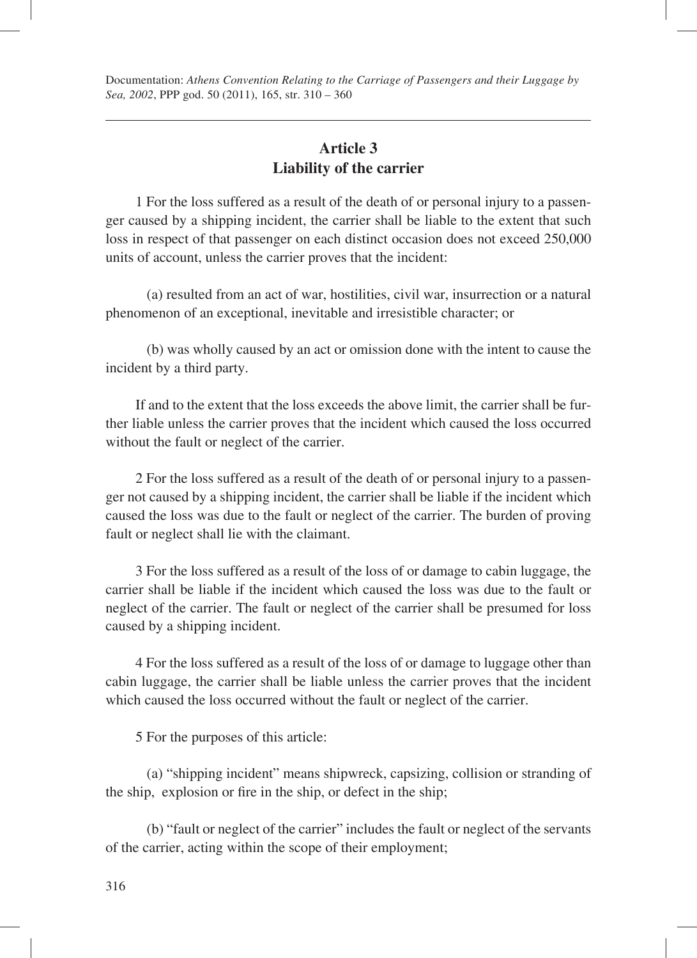## **Article 3 Liability of the carrier**

1 For the loss suffered as a result of the death of or personal injury to a passenger caused by a shipping incident, the carrier shall be liable to the extent that such loss in respect of that passenger on each distinct occasion does not exceed 250,000 units of account, unless the carrier proves that the incident:

(a) resulted from an act of war, hostilities, civil war, insurrection or a natural phenomenon of an exceptional, inevitable and irresistible character; or

(b) was wholly caused by an act or omission done with the intent to cause the incident by a third party.

If and to the extent that the loss exceeds the above limit, the carrier shall be further liable unless the carrier proves that the incident which caused the loss occurred without the fault or neglect of the carrier.

2 For the loss suffered as a result of the death of or personal injury to a passenger not caused by a shipping incident, the carrier shall be liable if the incident which caused the loss was due to the fault or neglect of the carrier. The burden of proving fault or neglect shall lie with the claimant.

3 For the loss suffered as a result of the loss of or damage to cabin luggage, the carrier shall be liable if the incident which caused the loss was due to the fault or neglect of the carrier. The fault or neglect of the carrier shall be presumed for loss caused by a shipping incident.

4 For the loss suffered as a result of the loss of or damage to luggage other than cabin luggage, the carrier shall be liable unless the carrier proves that the incident which caused the loss occurred without the fault or neglect of the carrier.

5 For the purposes of this article:

(a) "shipping incident" means shipwreck, capsizing, collision or stranding of the ship, explosion or fire in the ship, or defect in the ship;

(b) "fault or neglect of the carrier" includes the fault or neglect of the servants of the carrier, acting within the scope of their employment;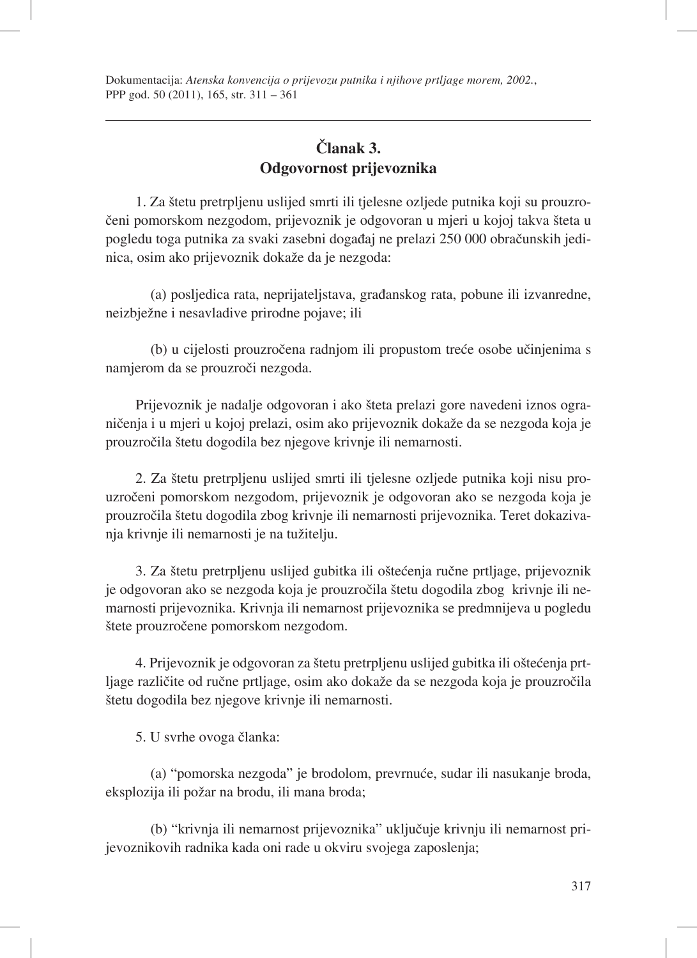# **Članak 3. Odgovornost prijevoznika**

1. Za štetu pretrpljenu uslijed smrti ili tjelesne ozljede putnika koji su prouzročeni pomorskom nezgodom, prijevoznik je odgovoran u mjeri u kojoj takva šteta u pogledu toga putnika za svaki zasebni događaj ne prelazi 250 000 obračunskih jedinica, osim ako prijevoznik dokaže da je nezgoda:

(a) posljedica rata, neprijateljstava, građanskog rata, pobune ili izvanredne, neizbježne i nesavladive prirodne pojave; ili

(b) u cijelosti prouzročena radnjom ili propustom treće osobe učinjenima s namjerom da se prouzroči nezgoda.

Prijevoznik je nadalje odgovoran i ako šteta prelazi gore navedeni iznos ograničenja i u mjeri u kojoj prelazi, osim ako prijevoznik dokaže da se nezgoda koja je prouzročila štetu dogodila bez njegove krivnje ili nemarnosti.

2. Za štetu pretrpljenu uslijed smrti ili tjelesne ozljede putnika koji nisu prouzročeni pomorskom nezgodom, prijevoznik je odgovoran ako se nezgoda koja je prouzročila štetu dogodila zbog krivnje ili nemarnosti prijevoznika. Teret dokazivanja krivnje ili nemarnosti je na tužitelju.

3. Za štetu pretrpljenu uslijed gubitka ili oštećenja ručne prtljage, prijevoznik je odgovoran ako se nezgoda koja je prouzročila štetu dogodila zbog krivnje ili nemarnosti prijevoznika. Krivnja ili nemarnost prijevoznika se predmnijeva u pogledu štete prouzročene pomorskom nezgodom.

4. Prijevoznik je odgovoran za štetu pretrpljenu uslijed gubitka ili oštećenja prtljage različite od ručne prtljage, osim ako dokaže da se nezgoda koja je prouzročila štetu dogodila bez njegove krivnje ili nemarnosti.

5. U svrhe ovoga članka:

(a) "pomorska nezgoda" je brodolom, prevrnuće, sudar ili nasukanje broda, eksplozija ili požar na brodu, ili mana broda;

(b) "krivnja ili nemarnost prijevoznika" uključuje krivnju ili nemarnost prijevoznikovih radnika kada oni rade u okviru svojega zaposlenja;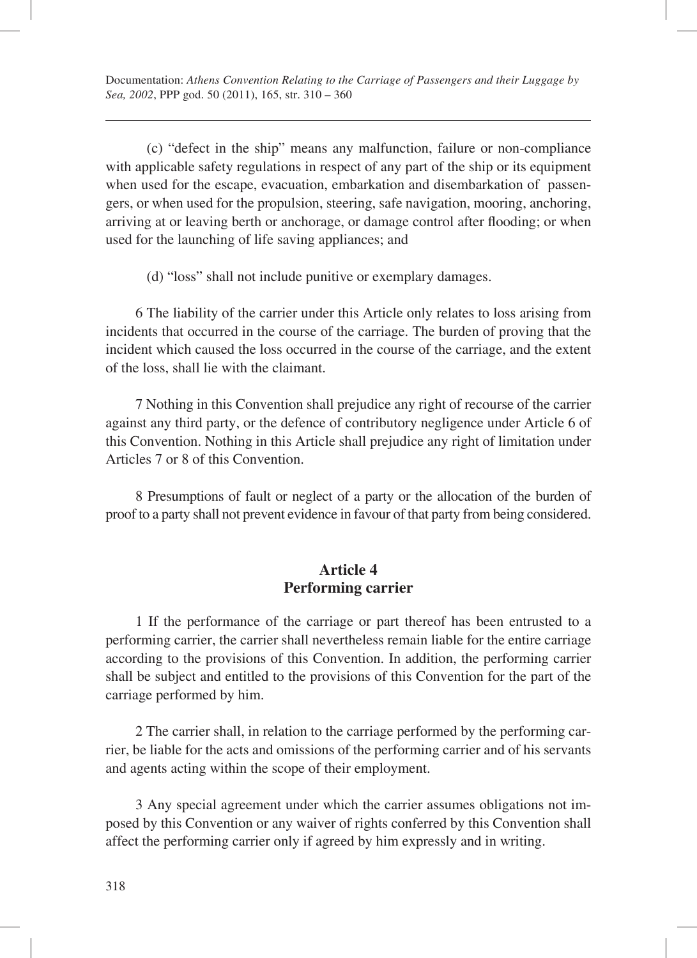(c) "defect in the ship" means any malfunction, failure or non-compliance with applicable safety regulations in respect of any part of the ship or its equipment when used for the escape, evacuation, embarkation and disembarkation of passengers, or when used for the propulsion, steering, safe navigation, mooring, anchoring, arriving at or leaving berth or anchorage, or damage control after flooding; or when used for the launching of life saving appliances; and

(d) "loss" shall not include punitive or exemplary damages.

6 The liability of the carrier under this Article only relates to loss arising from incidents that occurred in the course of the carriage. The burden of proving that the incident which caused the loss occurred in the course of the carriage, and the extent of the loss, shall lie with the claimant.

7 Nothing in this Convention shall prejudice any right of recourse of the carrier against any third party, or the defence of contributory negligence under Article 6 of this Convention. Nothing in this Article shall prejudice any right of limitation under Articles 7 or 8 of this Convention.

8 Presumptions of fault or neglect of a party or the allocation of the burden of proof to a party shall not prevent evidence in favour of that party from being considered.

#### **Article 4 Performing carrier**

1 If the performance of the carriage or part thereof has been entrusted to a performing carrier, the carrier shall nevertheless remain liable for the entire carriage according to the provisions of this Convention. In addition, the performing carrier shall be subject and entitled to the provisions of this Convention for the part of the carriage performed by him.

2 The carrier shall, in relation to the carriage performed by the performing carrier, be liable for the acts and omissions of the performing carrier and of his servants and agents acting within the scope of their employment.

3 Any special agreement under which the carrier assumes obligations not imposed by this Convention or any waiver of rights conferred by this Convention shall affect the performing carrier only if agreed by him expressly and in writing.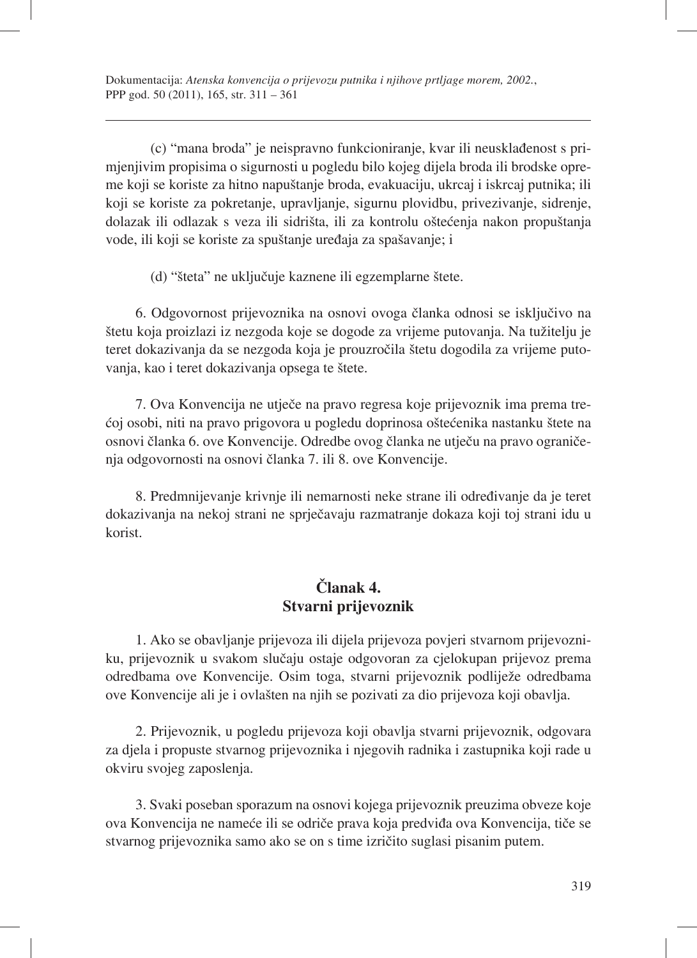(c) "mana broda" je neispravno funkcioniranje, kvar ili neusklađenost s primjenjivim propisima o sigurnosti u pogledu bilo kojeg dijela broda ili brodske opreme koji se koriste za hitno napuštanje broda, evakuaciju, ukrcaj i iskrcaj putnika; ili koji se koriste za pokretanje, upravljanje, sigurnu plovidbu, privezivanje, sidrenje, dolazak ili odlazak s veza ili sidrišta, ili za kontrolu oštećenja nakon propuštanja vode, ili koji se koriste za spuštanje uređaja za spašavanje; i

(d) "šteta" ne uključuje kaznene ili egzemplarne štete.

6. Odgovornost prijevoznika na osnovi ovoga članka odnosi se isključivo na štetu koja proizlazi iz nezgoda koje se dogode za vrijeme putovanja. Na tužitelju je teret dokazivanja da se nezgoda koja je prouzročila štetu dogodila za vrijeme putovanja, kao i teret dokazivanja opsega te štete.

7. Ova Konvencija ne utječe na pravo regresa koje prijevoznik ima prema trećoj osobi, niti na pravo prigovora u pogledu doprinosa oštećenika nastanku štete na osnovi članka 6. ove Konvencije. Odredbe ovog članka ne utječu na pravo ograničenja odgovornosti na osnovi članka 7. ili 8. ove Konvencije.

8. Predmnijevanje krivnje ili nemarnosti neke strane ili određivanje da je teret dokazivanja na nekoj strani ne sprječavaju razmatranje dokaza koji toj strani idu u korist.

## **Članak 4. Stvarni prijevoznik**

1. Ako se obavljanje prijevoza ili dijela prijevoza povjeri stvarnom prijevozniku, prijevoznik u svakom slučaju ostaje odgovoran za cjelokupan prijevoz prema odredbama ove Konvencije. Osim toga, stvarni prijevoznik podliježe odredbama ove Konvencije ali je i ovlašten na njih se pozivati za dio prijevoza koji obavlja.

2. Prijevoznik, u pogledu prijevoza koji obavlja stvarni prijevoznik, odgovara za djela i propuste stvarnog prijevoznika i njegovih radnika i zastupnika koji rade u okviru svojeg zaposlenja.

3. Svaki poseban sporazum na osnovi kojega prijevoznik preuzima obveze koje ova Konvencija ne nameće ili se odriče prava koja predviđa ova Konvencija, tiče se stvarnog prijevoznika samo ako se on s time izričito suglasi pisanim putem.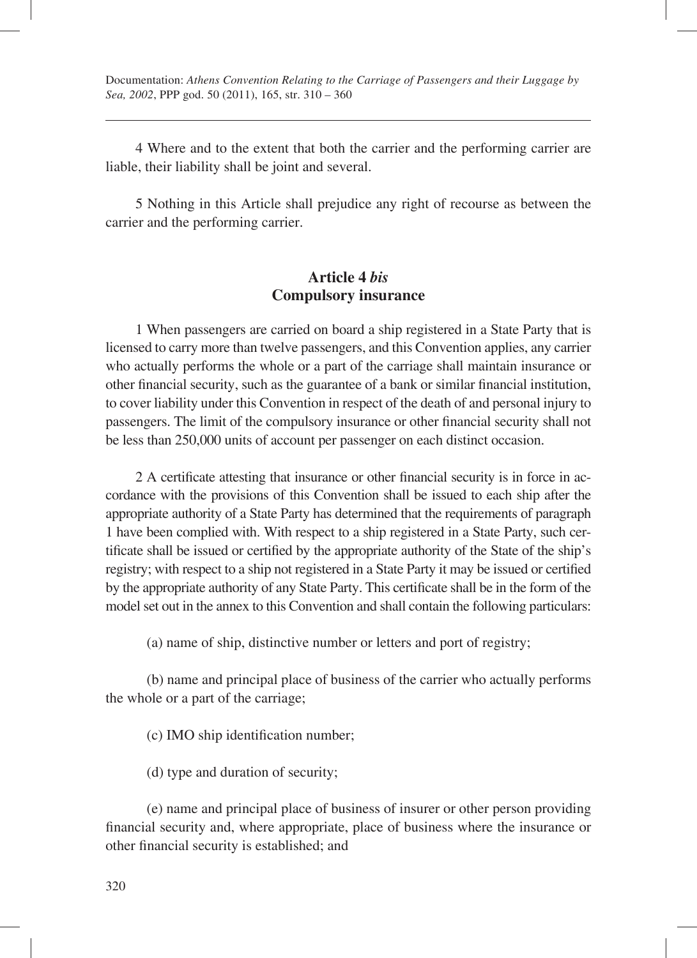4 Where and to the extent that both the carrier and the performing carrier are liable, their liability shall be joint and several.

5 Nothing in this Article shall prejudice any right of recourse as between the carrier and the performing carrier.

#### **Article 4** *bis* **Compulsory insurance**

1 When passengers are carried on board a ship registered in a State Party that is licensed to carry more than twelve passengers, and this Convention applies, any carrier who actually performs the whole or a part of the carriage shall maintain insurance or other financial security, such as the guarantee of a bank or similar financial institution, to cover liability under this Convention in respect of the death of and personal injury to passengers. The limit of the compulsory insurance or other financial security shall not be less than 250,000 units of account per passenger on each distinct occasion.

2 A certificate attesting that insurance or other financial security is in force in accordance with the provisions of this Convention shall be issued to each ship after the appropriate authority of a State Party has determined that the requirements of paragraph 1 have been complied with. With respect to a ship registered in a State Party, such certificate shall be issued or certified by the appropriate authority of the State of the ship's registry; with respect to a ship not registered in a State Party it may be issued or certified by the appropriate authority of any State Party. This certificate shall be in the form of the model set out in the annex to this Convention and shall contain the following particulars:

(a) name of ship, distinctive number or letters and port of registry;

(b) name and principal place of business of the carrier who actually performs the whole or a part of the carriage;

(c) IMO ship identification number;

(d) type and duration of security;

(e) name and principal place of business of insurer or other person providing financial security and, where appropriate, place of business where the insurance or other financial security is established; and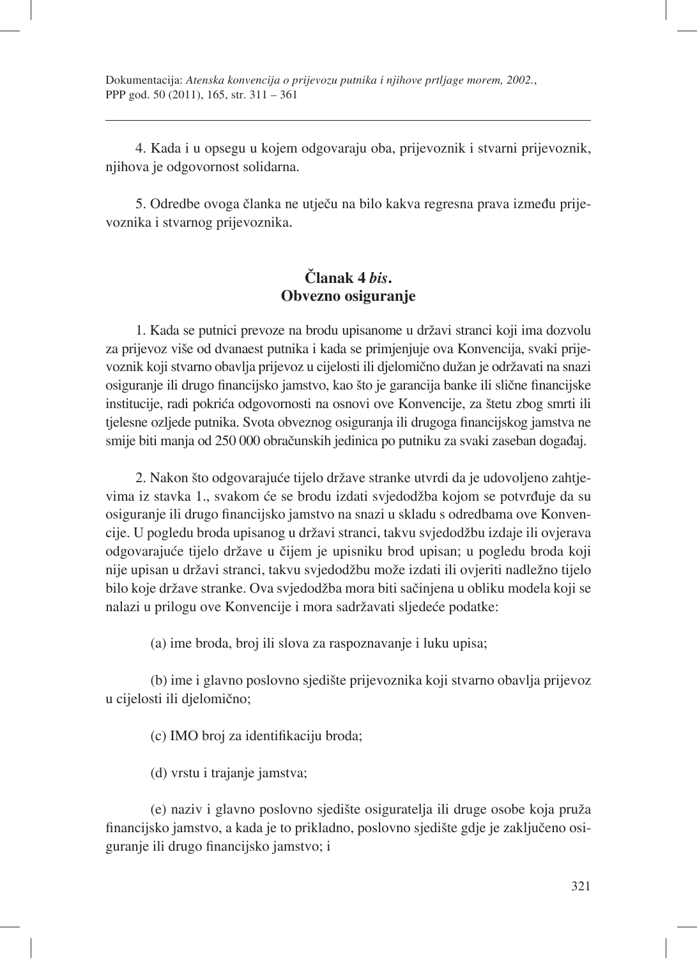4. Kada i u opsegu u kojem odgovaraju oba, prijevoznik i stvarni prijevoznik, njihova je odgovornost solidarna.

5. Odredbe ovoga članka ne utječu na bilo kakva regresna prava između prijevoznika i stvarnog prijevoznika.

### **Članak 4** *bis***. Obvezno osiguranje**

1. Kada se putnici prevoze na brodu upisanome u državi stranci koji ima dozvolu za prijevoz više od dvanaest putnika i kada se primjenjuje ova Konvencija, svaki prijevoznik koji stvarno obavlja prijevoz u cijelosti ili djelomično dužan je održavati na snazi osiguranje ili drugo financijsko jamstvo, kao što je garancija banke ili slične financijske institucije, radi pokrića odgovornosti na osnovi ove Konvencije, za štetu zbog smrti ili tjelesne ozljede putnika. Svota obveznog osiguranja ili drugoga financijskog jamstva ne smije biti manja od 250 000 obračunskih jedinica po putniku za svaki zaseban događaj.

2. Nakon što odgovarajuće tijelo države stranke utvrdi da je udovoljeno zahtjevima iz stavka 1., svakom će se brodu izdati svjedodžba kojom se potvrđuje da su osiguranje ili drugo financijsko jamstvo na snazi u skladu s odredbama ove Konvencije. U pogledu broda upisanog u državi stranci, takvu svjedodžbu izdaje ili ovjerava odgovarajuće tijelo države u čijem je upisniku brod upisan; u pogledu broda koji nije upisan u državi stranci, takvu svjedodžbu može izdati ili ovjeriti nadležno tijelo bilo koje države stranke. Ova svjedodžba mora biti sačinjena u obliku modela koji se nalazi u prilogu ove Konvencije i mora sadržavati sljedeće podatke:

(a) ime broda, broj ili slova za raspoznavanje i luku upisa;

(b) ime i glavno poslovno sjedište prijevoznika koji stvarno obavlja prijevoz u cijelosti ili djelomično;

(c) IMO broj za identifikaciju broda;

(d) vrstu i trajanje jamstva;

(e) naziv i glavno poslovno sjedište osiguratelja ili druge osobe koja pruža fi nancijsko jamstvo, a kada je to prikladno, poslovno sjedište gdje je zaključeno osiguranje ili drugo financijsko jamstvo; i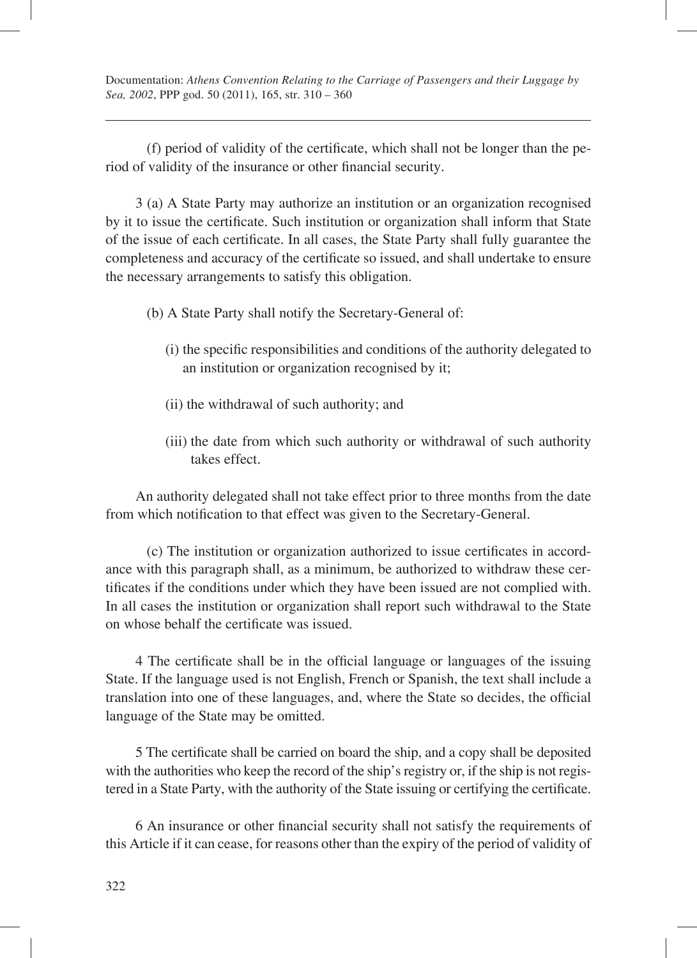(f) period of validity of the certificate, which shall not be longer than the period of validity of the insurance or other financial security.

3 (a) A State Party may authorize an institution or an organization recognised by it to issue the certificate. Such institution or organization shall inform that State of the issue of each certificate. In all cases, the State Party shall fully guarantee the completeness and accuracy of the certificate so issued, and shall undertake to ensure the necessary arrangements to satisfy this obligation.

- (b) A State Party shall notify the Secretary-General of:
	- (i) the specific responsibilities and conditions of the authority delegated to an institution or organization recognised by it;
	- (ii) the withdrawal of such authority; and
	- (iii) the date from which such authority or withdrawal of such authority takes effect.

An authority delegated shall not take effect prior to three months from the date from which notification to that effect was given to the Secretary-General.

(c) The institution or organization authorized to issue certificates in accordance with this paragraph shall, as a minimum, be authorized to withdraw these certificates if the conditions under which they have been issued are not complied with. In all cases the institution or organization shall report such withdrawal to the State on whose behalf the certificate was issued.

4 The certificate shall be in the official language or languages of the issuing State. If the language used is not English, French or Spanish, the text shall include a translation into one of these languages, and, where the State so decides, the official language of the State may be omitted.

5 The certificate shall be carried on board the ship, and a copy shall be deposited with the authorities who keep the record of the ship's registry or, if the ship is not registered in a State Party, with the authority of the State issuing or certifying the certificate.

6 An insurance or other financial security shall not satisfy the requirements of this Article if it can cease, for reasons other than the expiry of the period of validity of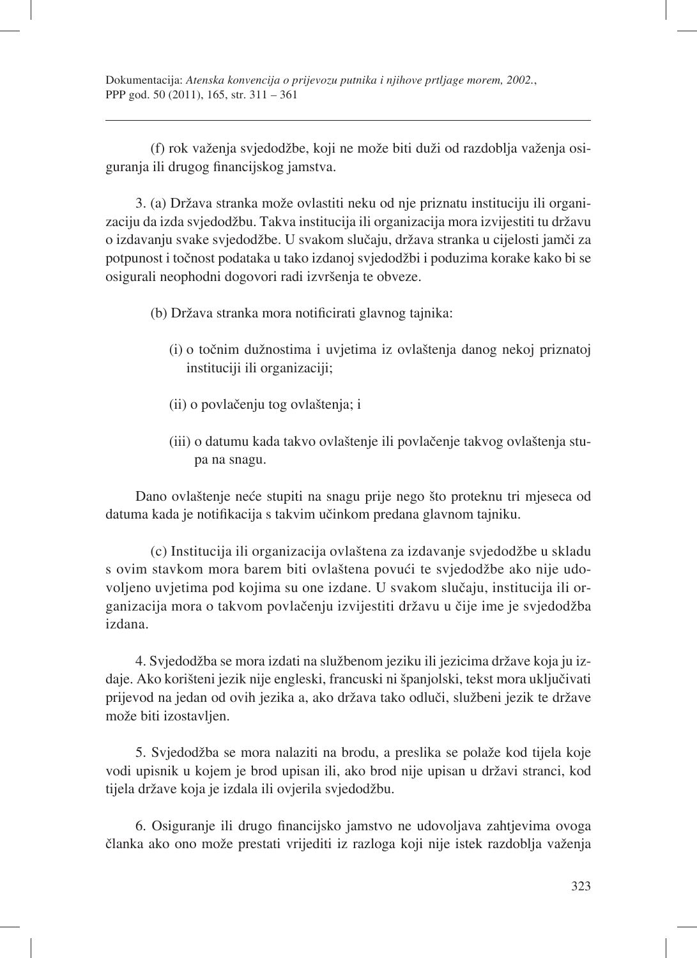(f) rok važenja svjedodžbe, koji ne može biti duži od razdoblja važenja osiguranja ili drugog financijskog jamstva.

3. (a) Država stranka može ovlastiti neku od nje priznatu instituciju ili organizaciju da izda svjedodžbu. Takva institucija ili organizacija mora izvijestiti tu državu o izdavanju svake svjedodžbe. U svakom slučaju, država stranka u cijelosti jamči za potpunost i točnost podataka u tako izdanoj svjedodžbi i poduzima korake kako bi se osigurali neophodni dogovori radi izvršenja te obveze.

(b) Država stranka mora notificirati glavnog tajnika:

- (i) o točnim dužnostima i uvjetima iz ovlaštenja danog nekoj priznatoj instituciji ili organizaciji;
- (ii) o povlačenju tog ovlaštenja; i
- (iii) o datumu kada takvo ovlaštenje ili povlačenje takvog ovlaštenja stupa na snagu.

Dano ovlaštenje neće stupiti na snagu prije nego što proteknu tri mjeseca od datuma kada je notifikacija s takvim učinkom predana glavnom tajniku.

(c) Institucija ili organizacija ovlaštena za izdavanje svjedodžbe u skladu s ovim stavkom mora barem biti ovlaštena povući te svjedodžbe ako nije udovoljeno uvjetima pod kojima su one izdane. U svakom slučaju, institucija ili organizacija mora o takvom povlačenju izvijestiti državu u čije ime je svjedodžba izdana.

4. Svjedodžba se mora izdati na službenom jeziku ili jezicima države koja ju izdaje. Ako korišteni jezik nije engleski, francuski ni španjolski, tekst mora uključivati prijevod na jedan od ovih jezika a, ako država tako odluči, službeni jezik te države može biti izostavljen.

5. Svjedodžba se mora nalaziti na brodu, a preslika se polaže kod tijela koje vodi upisnik u kojem je brod upisan ili, ako brod nije upisan u državi stranci, kod tijela države koja je izdala ili ovjerila svjedodžbu.

6. Osiguranje ili drugo financijsko jamstvo ne udovoljava zahtjevima ovoga članka ako ono može prestati vrijediti iz razloga koji nije istek razdoblja važenja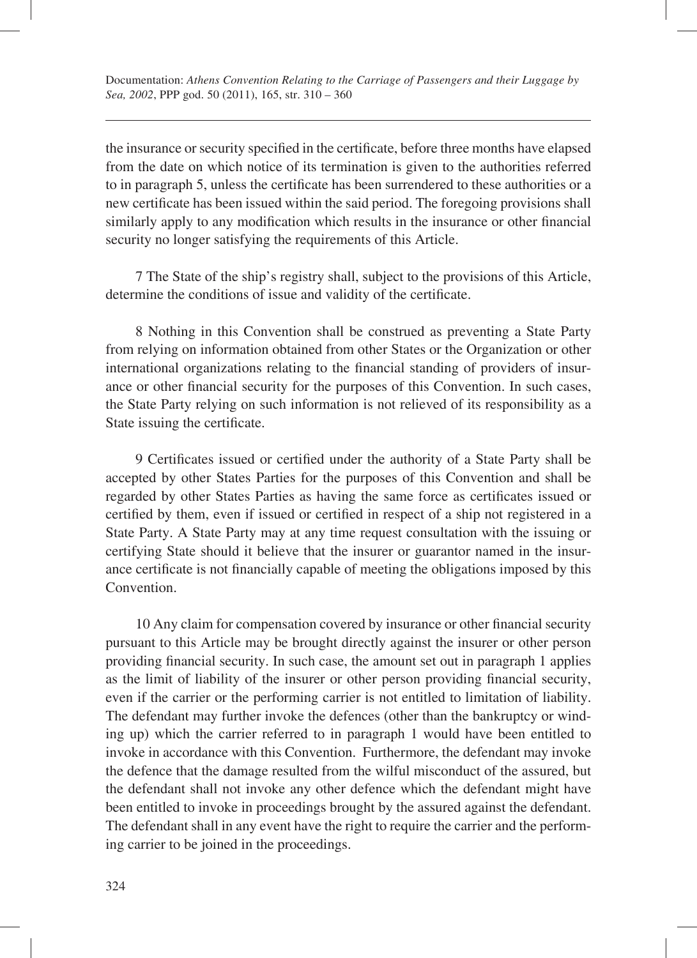the insurance or security specified in the certificate, before three months have elapsed from the date on which notice of its termination is given to the authorities referred to in paragraph 5, unless the certificate has been surrendered to these authorities or a new certificate has been issued within the said period. The foregoing provisions shall similarly apply to any modification which results in the insurance or other financial security no longer satisfying the requirements of this Article.

7 The State of the ship's registry shall, subject to the provisions of this Article, determine the conditions of issue and validity of the certificate.

8 Nothing in this Convention shall be construed as preventing a State Party from relying on information obtained from other States or the Organization or other international organizations relating to the financial standing of providers of insurance or other financial security for the purposes of this Convention. In such cases, the State Party relying on such information is not relieved of its responsibility as a State issuing the certificate.

9 Certificates issued or certified under the authority of a State Party shall be accepted by other States Parties for the purposes of this Convention and shall be regarded by other States Parties as having the same force as certificates issued or certified by them, even if issued or certified in respect of a ship not registered in a State Party. A State Party may at any time request consultation with the issuing or certifying State should it believe that the insurer or guarantor named in the insurance certificate is not financially capable of meeting the obligations imposed by this Convention.

10 Any claim for compensation covered by insurance or other financial security pursuant to this Article may be brought directly against the insurer or other person providing financial security. In such case, the amount set out in paragraph 1 applies as the limit of liability of the insurer or other person providing financial security, even if the carrier or the performing carrier is not entitled to limitation of liability. The defendant may further invoke the defences (other than the bankruptcy or winding up) which the carrier referred to in paragraph 1 would have been entitled to invoke in accordance with this Convention. Furthermore, the defendant may invoke the defence that the damage resulted from the wilful misconduct of the assured, but the defendant shall not invoke any other defence which the defendant might have been entitled to invoke in proceedings brought by the assured against the defendant. The defendant shall in any event have the right to require the carrier and the performing carrier to be joined in the proceedings.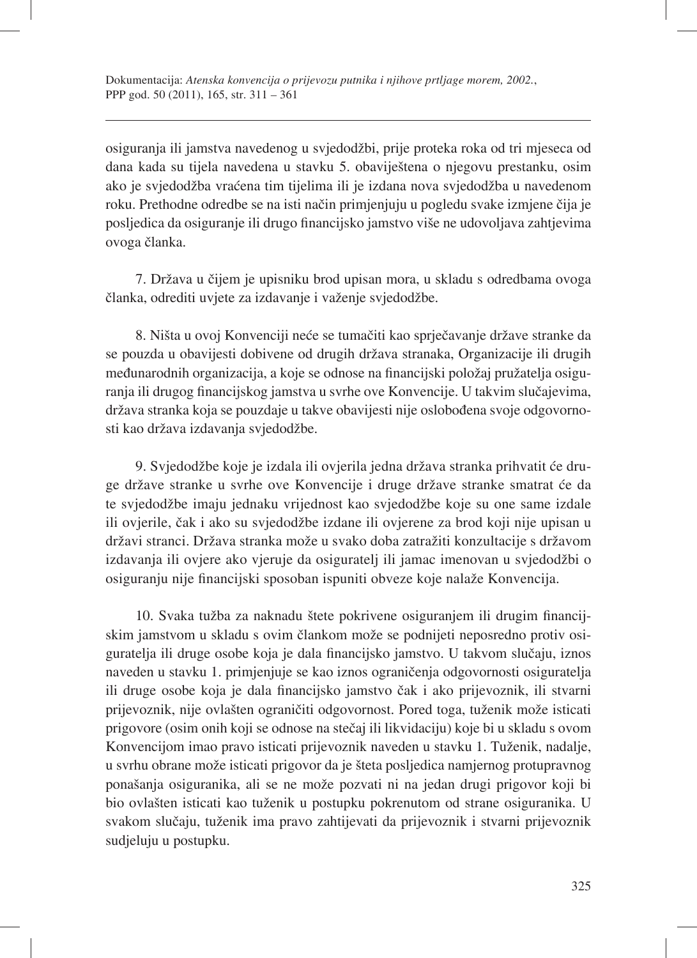osiguranja ili jamstva navedenog u svjedodžbi, prije proteka roka od tri mjeseca od dana kada su tijela navedena u stavku 5. obaviještena o njegovu prestanku, osim ako je svjedodžba vraćena tim tijelima ili je izdana nova svjedodžba u navedenom roku. Prethodne odredbe se na isti način primjenjuju u pogledu svake izmjene čija je posljedica da osiguranje ili drugo financijsko jamstvo više ne udovoljava zahtjevima ovoga članka.

7. Država u čijem je upisniku brod upisan mora, u skladu s odredbama ovoga članka, odrediti uvjete za izdavanje i važenje svjedodžbe.

8. Ništa u ovoj Konvenciji neće se tumačiti kao sprječavanje države stranke da se pouzda u obavijesti dobivene od drugih država stranaka, Organizacije ili drugih međunarodnih organizacija, a koje se odnose na financijski položaj pružatelja osiguranja ili drugog financijskog jamstva u svrhe ove Konvencije. U takvim slučajevima, država stranka koja se pouzdaje u takve obavijesti nije oslobođena svoje odgovornosti kao država izdavanja svjedodžbe.

9. Svjedodžbe koje je izdala ili ovjerila jedna država stranka prihvatit će druge države stranke u svrhe ove Konvencije i druge države stranke smatrat će da te svjedodžbe imaju jednaku vrijednost kao svjedodžbe koje su one same izdale ili ovjerile, čak i ako su svjedodžbe izdane ili ovjerene za brod koji nije upisan u državi stranci. Država stranka može u svako doba zatražiti konzultacije s državom izdavanja ili ovjere ako vjeruje da osiguratelj ili jamac imenovan u svjedodžbi o osiguranju nije financijski sposoban ispuniti obveze koje nalaže Konvencija.

10. Svaka tužba za naknadu štete pokrivene osiguranjem ili drugim financijskim jamstvom u skladu s ovim člankom može se podnijeti neposredno protiv osiguratelja ili druge osobe koja je dala financijsko jamstvo. U takvom slučaju, iznos naveden u stavku 1. primjenjuje se kao iznos ograničenja odgovornosti osiguratelja ili druge osobe koja je dala financijsko jamstvo čak i ako prijevoznik, ili stvarni prijevoznik, nije ovlašten ograničiti odgovornost. Pored toga, tuženik može isticati prigovore (osim onih koji se odnose na stečaj ili likvidaciju) koje bi u skladu s ovom Konvencijom imao pravo isticati prijevoznik naveden u stavku 1. Tuženik, nadalje, u svrhu obrane može isticati prigovor da je šteta posljedica namjernog protupravnog ponašanja osiguranika, ali se ne može pozvati ni na jedan drugi prigovor koji bi bio ovlašten isticati kao tuženik u postupku pokrenutom od strane osiguranika. U svakom slučaju, tuženik ima pravo zahtijevati da prijevoznik i stvarni prijevoznik sudjeluju u postupku.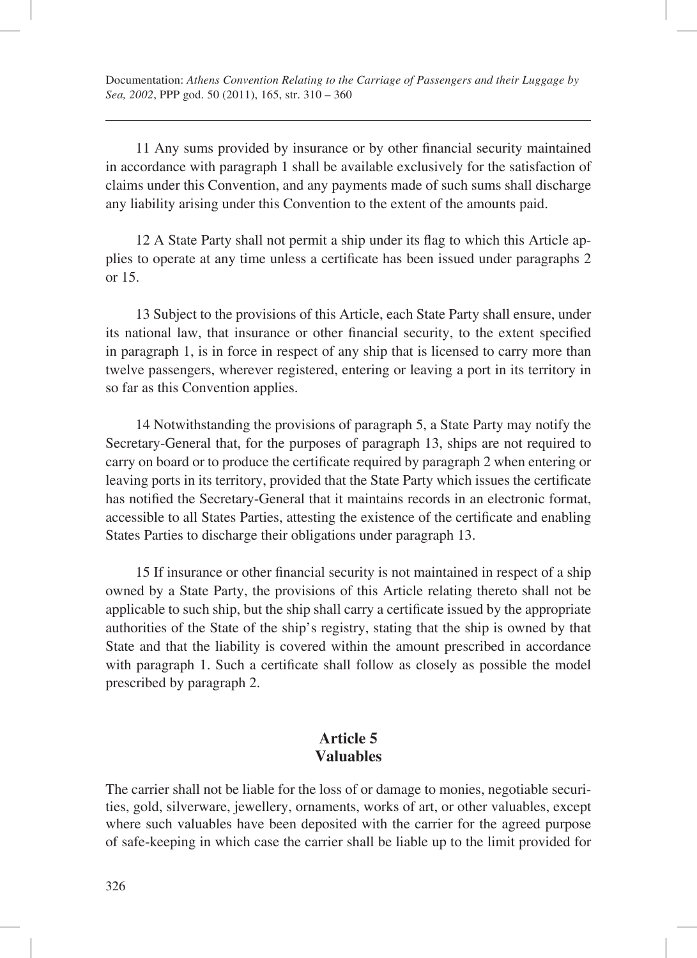11 Any sums provided by insurance or by other financial security maintained in accordance with paragraph 1 shall be available exclusively for the satisfaction of claims under this Convention, and any payments made of such sums shall discharge any liability arising under this Convention to the extent of the amounts paid.

12 A State Party shall not permit a ship under its flag to which this Article applies to operate at any time unless a certificate has been issued under paragraphs 2 or 15.

13 Subject to the provisions of this Article, each State Party shall ensure, under its national law, that insurance or other financial security, to the extent specified in paragraph 1, is in force in respect of any ship that is licensed to carry more than twelve passengers, wherever registered, entering or leaving a port in its territory in so far as this Convention applies.

14 Notwithstanding the provisions of paragraph 5, a State Party may notify the Secretary-General that, for the purposes of paragraph 13, ships are not required to carry on board or to produce the certificate required by paragraph 2 when entering or leaving ports in its territory, provided that the State Party which issues the certificate has notified the Secretary-General that it maintains records in an electronic format, accessible to all States Parties, attesting the existence of the certificate and enabling States Parties to discharge their obligations under paragraph 13.

15 If insurance or other financial security is not maintained in respect of a ship owned by a State Party, the provisions of this Article relating thereto shall not be applicable to such ship, but the ship shall carry a certificate issued by the appropriate authorities of the State of the ship's registry, stating that the ship is owned by that State and that the liability is covered within the amount prescribed in accordance with paragraph 1. Such a certificate shall follow as closely as possible the model prescribed by paragraph 2.

## **Article 5 Valuables**

The carrier shall not be liable for the loss of or damage to monies, negotiable securities, gold, silverware, jewellery, ornaments, works of art, or other valuables, except where such valuables have been deposited with the carrier for the agreed purpose of safe-keeping in which case the carrier shall be liable up to the limit provided for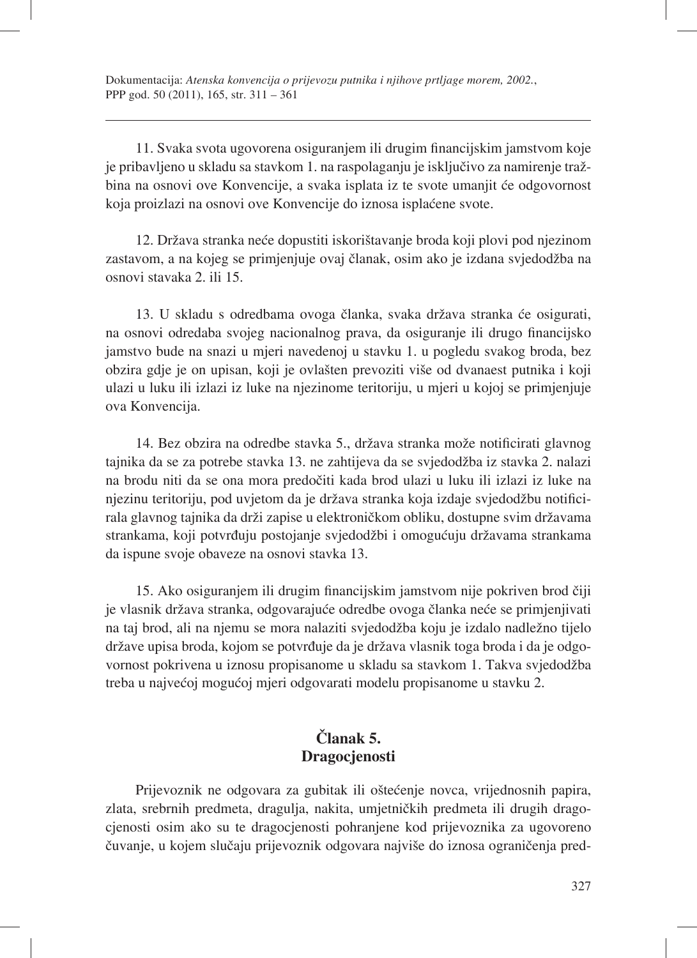11. Svaka svota ugovorena osiguranjem ili drugim financijskim jamstvom koje je pribavljeno u skladu sa stavkom 1. na raspolaganju je isključivo za namirenje tražbina na osnovi ove Konvencije, a svaka isplata iz te svote umanjit će odgovornost koja proizlazi na osnovi ove Konvencije do iznosa isplaćene svote.

12. Država stranka neće dopustiti iskorištavanje broda koji plovi pod njezinom zastavom, a na kojeg se primjenjuje ovaj članak, osim ako je izdana svjedodžba na osnovi stavaka 2. ili 15.

13. U skladu s odredbama ovoga članka, svaka država stranka će osigurati, na osnovi odredaba svojeg nacionalnog prava, da osiguranje ili drugo financijsko jamstvo bude na snazi u mjeri navedenoj u stavku 1. u pogledu svakog broda, bez obzira gdje je on upisan, koji je ovlašten prevoziti više od dvanaest putnika i koji ulazi u luku ili izlazi iz luke na njezinome teritoriju, u mjeri u kojoj se primjenjuje ova Konvencija.

14. Bez obzira na odredbe stavka 5., država stranka može notificirati glavnog tajnika da se za potrebe stavka 13. ne zahtijeva da se svjedodžba iz stavka 2. nalazi na brodu niti da se ona mora predočiti kada brod ulazi u luku ili izlazi iz luke na njezinu teritoriju, pod uvjetom da je država stranka koja izdaje svjedodžbu notificirala glavnog tajnika da drži zapise u elektroničkom obliku, dostupne svim državama strankama, koji potvrđuju postojanje svjedodžbi i omogućuju državama strankama da ispune svoje obaveze na osnovi stavka 13.

15. Ako osiguranjem ili drugim financijskim jamstvom nije pokriven brod čiji je vlasnik država stranka, odgovarajuće odredbe ovoga članka neće se primjenjivati na taj brod, ali na njemu se mora nalaziti svjedodžba koju je izdalo nadležno tijelo države upisa broda, kojom se potvrđuje da je država vlasnik toga broda i da je odgovornost pokrivena u iznosu propisanome u skladu sa stavkom 1. Takva svjedodžba treba u najvećoj mogućoj mjeri odgovarati modelu propisanome u stavku 2.

# **Članak 5. Dragocjenosti**

Prijevoznik ne odgovara za gubitak ili oštećenje novca, vrijednosnih papira, zlata, srebrnih predmeta, dragulja, nakita, umjetničkih predmeta ili drugih dragocjenosti osim ako su te dragocjenosti pohranjene kod prijevoznika za ugovoreno čuvanje, u kojem slučaju prijevoznik odgovara najviše do iznosa ograničenja pred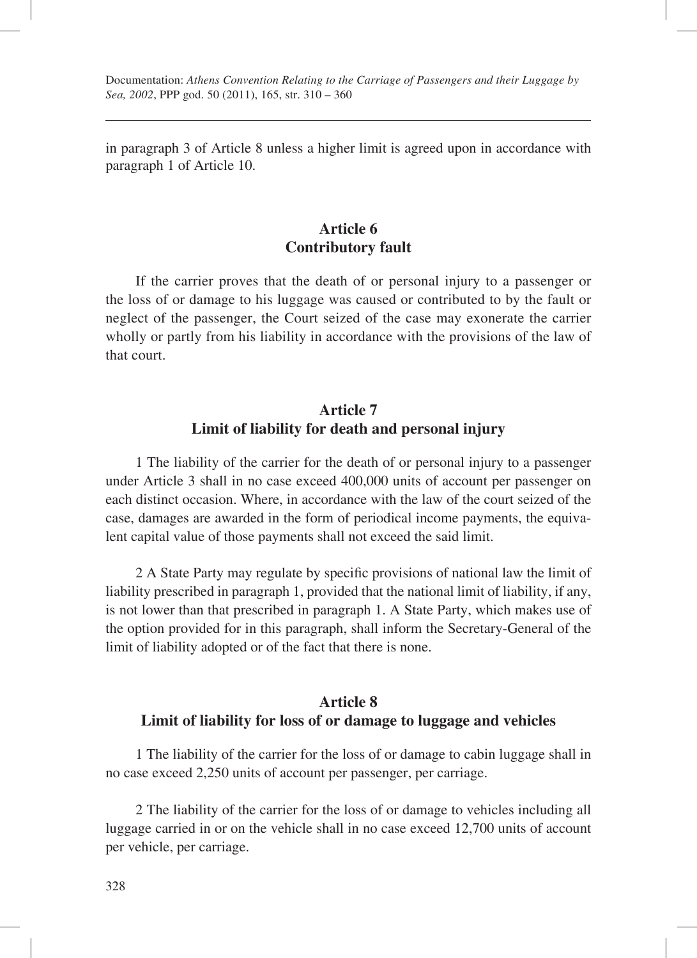in paragraph 3 of Article 8 unless a higher limit is agreed upon in accordance with paragraph 1 of Article 10.

#### **Article 6 Contributory fault**

If the carrier proves that the death of or personal injury to a passenger or the loss of or damage to his luggage was caused or contributed to by the fault or neglect of the passenger, the Court seized of the case may exonerate the carrier wholly or partly from his liability in accordance with the provisions of the law of that court.

#### **Article 7 Limit of liability for death and personal injury**

1 The liability of the carrier for the death of or personal injury to a passenger under Article 3 shall in no case exceed 400,000 units of account per passenger on each distinct occasion. Where, in accordance with the law of the court seized of the case, damages are awarded in the form of periodical income payments, the equivalent capital value of those payments shall not exceed the said limit.

2 A State Party may regulate by specific provisions of national law the limit of liability prescribed in paragraph 1, provided that the national limit of liability, if any, is not lower than that prescribed in paragraph 1. A State Party, which makes use of the option provided for in this paragraph, shall inform the Secretary-General of the limit of liability adopted or of the fact that there is none.

### **Article 8 Limit of liability for loss of or damage to luggage and vehicles**

1 The liability of the carrier for the loss of or damage to cabin luggage shall in no case exceed 2,250 units of account per passenger, per carriage.

2 The liability of the carrier for the loss of or damage to vehicles including all luggage carried in or on the vehicle shall in no case exceed 12,700 units of account per vehicle, per carriage.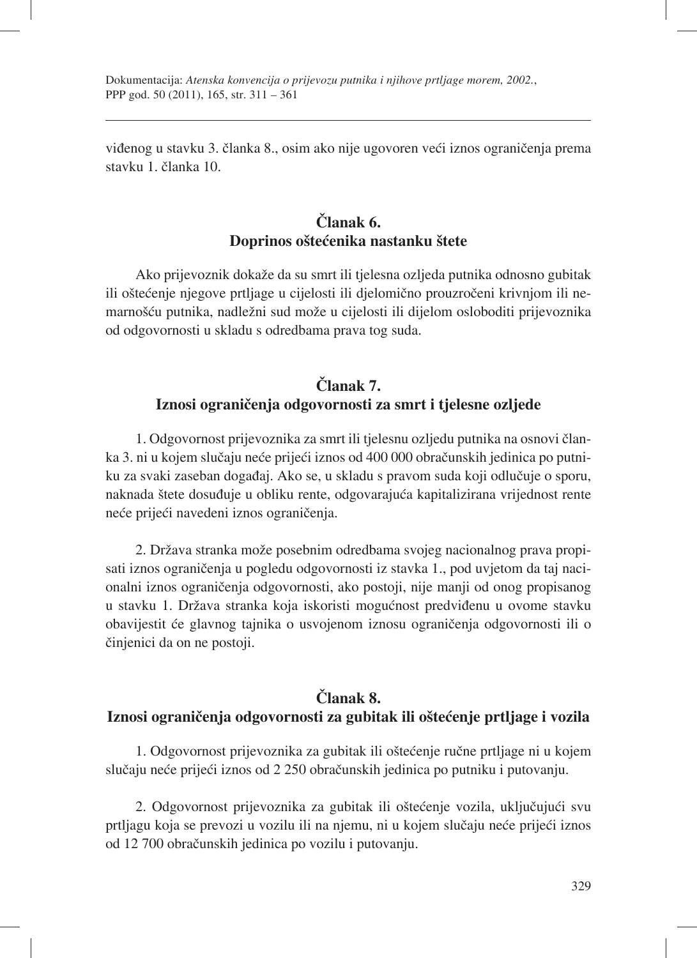viđenog u stavku 3. članka 8., osim ako nije ugovoren veći iznos ograničenja prema stavku 1. članka 10.

# **Članak 6. Doprinos oštećenika nastanku štete**

Ako prijevoznik dokaže da su smrt ili tjelesna ozljeda putnika odnosno gubitak ili oštećenje njegove prtljage u cijelosti ili djelomično prouzročeni krivnjom ili nemarnošću putnika, nadležni sud može u cijelosti ili dijelom osloboditi prijevoznika od odgovornosti u skladu s odredbama prava tog suda.

# **Članak 7. Iznosi ograničenja odgovornosti za smrt i tjelesne ozljede**

1. Odgovornost prijevoznika za smrt ili tjelesnu ozljedu putnika na osnovi članka 3. ni u kojem slučaju neće prijeći iznos od 400 000 obračunskih jedinica po putniku za svaki zaseban događaj. Ako se, u skladu s pravom suda koji odlučuje o sporu, naknada štete dosuđuje u obliku rente, odgovarajuća kapitalizirana vrijednost rente neće prijeći navedeni iznos ograničenja.

2. Država stranka može posebnim odredbama svojeg nacionalnog prava propisati iznos ograničenja u pogledu odgovornosti iz stavka 1., pod uvjetom da taj nacionalni iznos ograničenja odgovornosti, ako postoji, nije manji od onog propisanog u stavku 1. Država stranka koja iskoristi mogućnost predviđenu u ovome stavku obavijestit će glavnog tajnika o usvojenom iznosu ograničenja odgovornosti ili o činjenici da on ne postoji.

## **Članak 8. Iznosi ograničenja odgovornosti za gubitak ili oštećenje prtljage i vozila**

1. Odgovornost prijevoznika za gubitak ili oštećenje ručne prtljage ni u kojem slučaju neće prijeći iznos od 2 250 obračunskih jedinica po putniku i putovanju.

2. Odgovornost prijevoznika za gubitak ili oštećenje vozila, uključujući svu prtljagu koja se prevozi u vozilu ili na njemu, ni u kojem slučaju neće prijeći iznos od 12 700 obračunskih jedinica po vozilu i putovanju.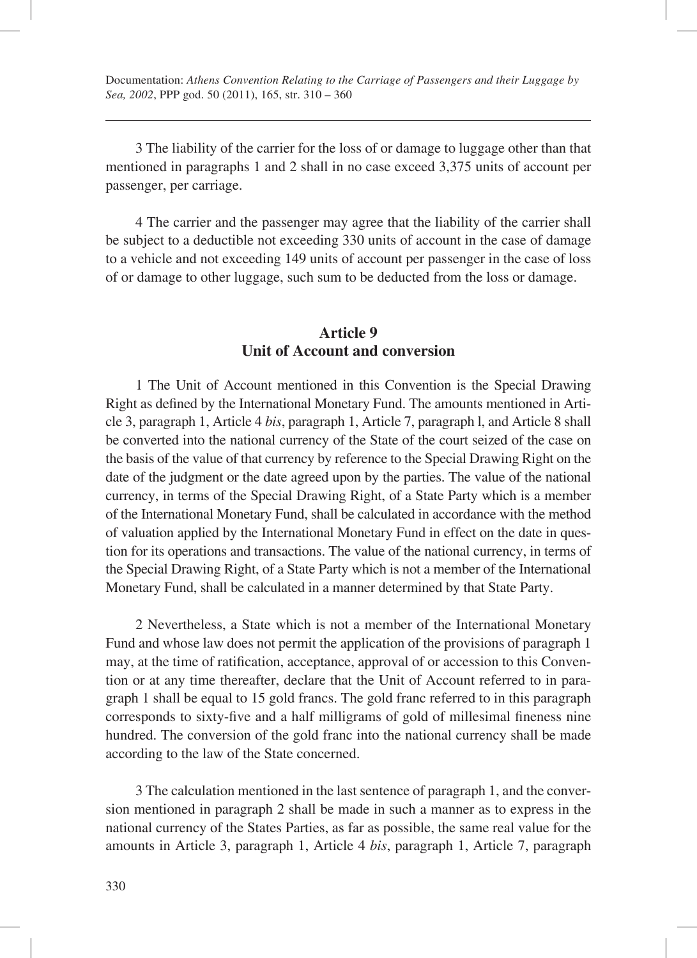3 The liability of the carrier for the loss of or damage to luggage other than that mentioned in paragraphs 1 and 2 shall in no case exceed 3,375 units of account per passenger, per carriage.

4 The carrier and the passenger may agree that the liability of the carrier shall be subject to a deductible not exceeding 330 units of account in the case of damage to a vehicle and not exceeding 149 units of account per passenger in the case of loss of or damage to other luggage, such sum to be deducted from the loss or damage.

#### **Article 9 Unit of Account and conversion**

1 The Unit of Account mentioned in this Convention is the Special Drawing Right as defined by the International Monetary Fund. The amounts mentioned in Article 3, paragraph 1, Article 4 *bis*, paragraph 1, Article 7, paragraph l, and Article 8 shall be converted into the national currency of the State of the court seized of the case on the basis of the value of that currency by reference to the Special Drawing Right on the date of the judgment or the date agreed upon by the parties. The value of the national currency, in terms of the Special Drawing Right, of a State Party which is a member of the International Monetary Fund, shall be calculated in accordance with the method of valuation applied by the International Monetary Fund in effect on the date in question for its operations and transactions. The value of the national currency, in terms of the Special Drawing Right, of a State Party which is not a member of the International Monetary Fund, shall be calculated in a manner determined by that State Party.

2 Nevertheless, a State which is not a member of the International Monetary Fund and whose law does not permit the application of the provisions of paragraph 1 may, at the time of ratification, acceptance, approval of or accession to this Convention or at any time thereafter, declare that the Unit of Account referred to in paragraph 1 shall be equal to 15 gold francs. The gold franc referred to in this paragraph corresponds to sixty-five and a half milligrams of gold of millesimal fineness nine hundred. The conversion of the gold franc into the national currency shall be made according to the law of the State concerned.

3 The calculation mentioned in the last sentence of paragraph 1, and the conversion mentioned in paragraph 2 shall be made in such a manner as to express in the national currency of the States Parties, as far as possible, the same real value for the amounts in Article 3, paragraph 1, Article 4 *bis*, paragraph 1, Article 7, paragraph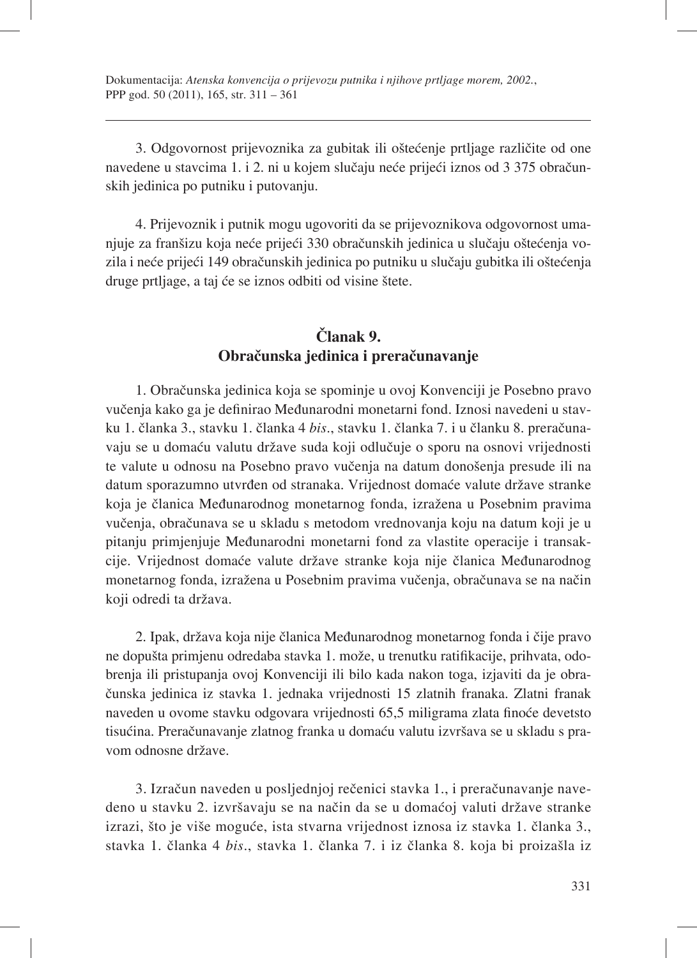3. Odgovornost prijevoznika za gubitak ili oštećenje prtljage različite od one navedene u stavcima 1. i 2. ni u kojem slučaju neće prijeći iznos od 3 375 obračunskih jedinica po putniku i putovanju.

4. Prijevoznik i putnik mogu ugovoriti da se prijevoznikova odgovornost umanjuje za franšizu koja neće prijeći 330 obračunskih jedinica u slučaju oštećenja vozila i neće prijeći 149 obračunskih jedinica po putniku u slučaju gubitka ili oštećenja druge prtljage, a taj će se iznos odbiti od visine štete.

# **Članak 9. Obračunska jedinica i preračunavanje**

1. Obračunska jedinica koja se spominje u ovoj Konvenciji je Posebno pravo vučenja kako ga je definirao Međunarodni monetarni fond. Iznosi navedeni u stavku 1. članka 3., stavku 1. članka 4 *bis*., stavku 1. članka 7. i u članku 8. preračunavaju se u domaću valutu države suda koji odlučuje o sporu na osnovi vrijednosti te valute u odnosu na Posebno pravo vučenja na datum donošenja presude ili na datum sporazumno utvrđen od stranaka. Vrijednost domaće valute države stranke koja je članica Međunarodnog monetarnog fonda, izražena u Posebnim pravima vučenja, obračunava se u skladu s metodom vrednovanja koju na datum koji je u pitanju primjenjuje Međunarodni monetarni fond za vlastite operacije i transakcije. Vrijednost domaće valute države stranke koja nije članica Međunarodnog monetarnog fonda, izražena u Posebnim pravima vučenja, obračunava se na način koji odredi ta država.

2. Ipak, država koja nije članica Međunarodnog monetarnog fonda i čije pravo ne dopušta primjenu odredaba stavka 1. može, u trenutku ratifikacije, prihvata, odobrenja ili pristupanja ovoj Konvenciji ili bilo kada nakon toga, izjaviti da je obračunska jedinica iz stavka 1. jednaka vrijednosti 15 zlatnih franaka. Zlatni franak naveden u ovome stavku odgovara vrijednosti 65,5 miligrama zlata finoće devetsto tisućina. Preračunavanje zlatnog franka u domaću valutu izvršava se u skladu s pravom odnosne države.

3. Izračun naveden u posljednjoj rečenici stavka 1., i preračunavanje navedeno u stavku 2. izvršavaju se na način da se u domaćoj valuti države stranke izrazi, što je više moguće, ista stvarna vrijednost iznosa iz stavka 1. članka 3., stavka 1. članka 4 *bis*., stavka 1. članka 7. i iz članka 8. koja bi proizašla iz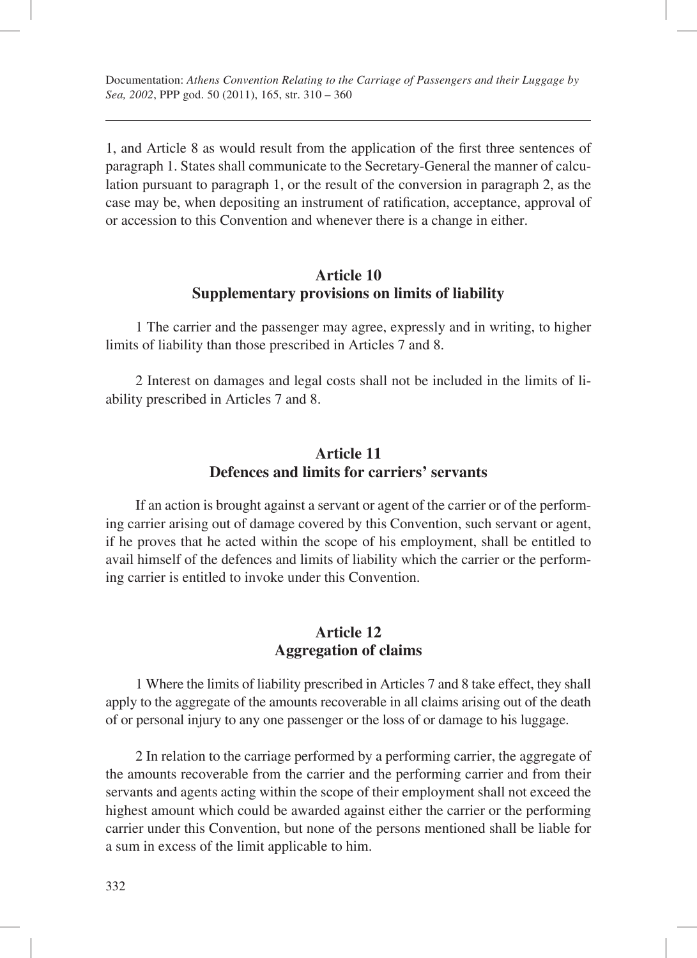1, and Article 8 as would result from the application of the first three sentences of paragraph 1. States shall communicate to the Secretary-General the manner of calculation pursuant to paragraph 1, or the result of the conversion in paragraph 2, as the case may be, when depositing an instrument of ratification, acceptance, approval of or accession to this Convention and whenever there is a change in either.

#### **Article 10 Supplementary provisions on limits of liability**

1 The carrier and the passenger may agree, expressly and in writing, to higher limits of liability than those prescribed in Articles 7 and 8.

2 Interest on damages and legal costs shall not be included in the limits of liability prescribed in Articles 7 and 8.

#### **Article 11 Defences and limits for carriers' servants**

If an action is brought against a servant or agent of the carrier or of the performing carrier arising out of damage covered by this Convention, such servant or agent, if he proves that he acted within the scope of his employment, shall be entitled to avail himself of the defences and limits of liability which the carrier or the performing carrier is entitled to invoke under this Convention.

#### **Article 12 Aggregation of claims**

1 Where the limits of liability prescribed in Articles 7 and 8 take effect, they shall apply to the aggregate of the amounts recoverable in all claims arising out of the death of or personal injury to any one passenger or the loss of or damage to his luggage.

2 In relation to the carriage performed by a performing carrier, the aggregate of the amounts recoverable from the carrier and the performing carrier and from their servants and agents acting within the scope of their employment shall not exceed the highest amount which could be awarded against either the carrier or the performing carrier under this Convention, but none of the persons mentioned shall be liable for a sum in excess of the limit applicable to him.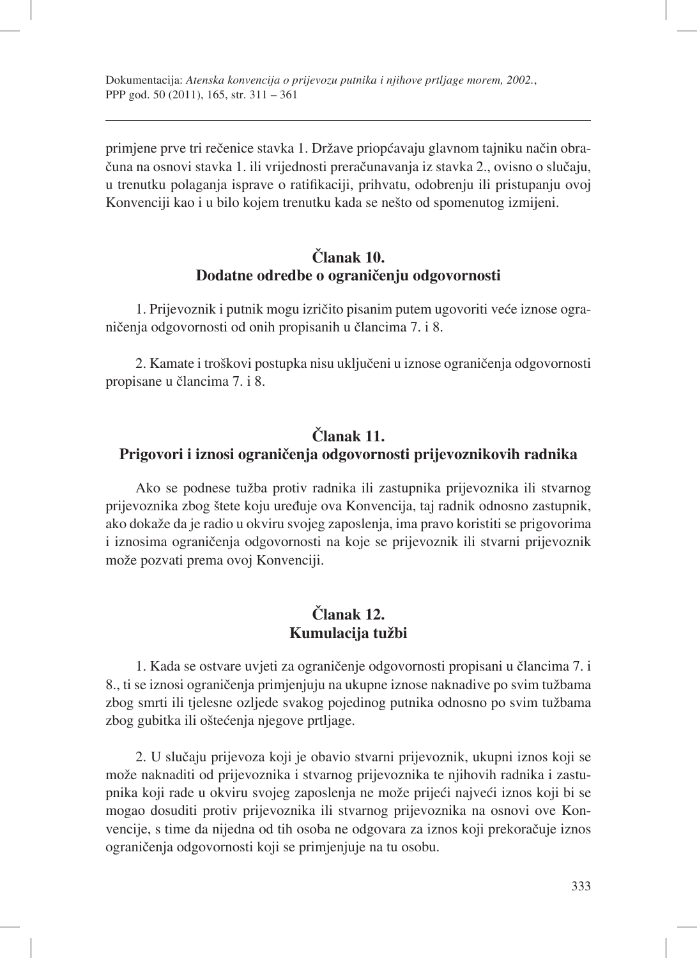primjene prve tri rečenice stavka 1. Države priopćavaju glavnom tajniku način obračuna na osnovi stavka 1. ili vrijednosti preračunavanja iz stavka 2., ovisno o slučaju, u trenutku polaganja isprave o ratifikaciji, prihvatu, odobrenju ili pristupanju ovoj Konvenciji kao i u bilo kojem trenutku kada se nešto od spomenutog izmijeni.

## **Članak 10. Dodatne odredbe o ograničenju odgovornosti**

1. Prijevoznik i putnik mogu izričito pisanim putem ugovoriti veće iznose ograničenja odgovornosti od onih propisanih u člancima 7. i 8.

2. Kamate i troškovi postupka nisu uključeni u iznose ograničenja odgovornosti propisane u člancima 7. i 8.

## **Članak 11. Prigovori i iznosi ograničenja odgovornosti prijevoznikovih radnika**

Ako se podnese tužba protiv radnika ili zastupnika prijevoznika ili stvarnog prijevoznika zbog štete koju uređuje ova Konvencija, taj radnik odnosno zastupnik, ako dokaže da je radio u okviru svojeg zaposlenja, ima pravo koristiti se prigovorima i iznosima ograničenja odgovornosti na koje se prijevoznik ili stvarni prijevoznik može pozvati prema ovoj Konvenciji.

## **Članak 12. Kumulacija tužbi**

1. Kada se ostvare uvjeti za ograničenje odgovornosti propisani u člancima 7. i 8., ti se iznosi ograničenja primjenjuju na ukupne iznose naknadive po svim tužbama zbog smrti ili tjelesne ozljede svakog pojedinog putnika odnosno po svim tužbama zbog gubitka ili oštećenja njegove prtljage.

2. U slučaju prijevoza koji je obavio stvarni prijevoznik, ukupni iznos koji se može naknaditi od prijevoznika i stvarnog prijevoznika te njihovih radnika i zastupnika koji rade u okviru svojeg zaposlenja ne može prijeći najveći iznos koji bi se mogao dosuditi protiv prijevoznika ili stvarnog prijevoznika na osnovi ove Konvencije, s time da nijedna od tih osoba ne odgovara za iznos koji prekoračuje iznos ograničenja odgovornosti koji se primjenjuje na tu osobu.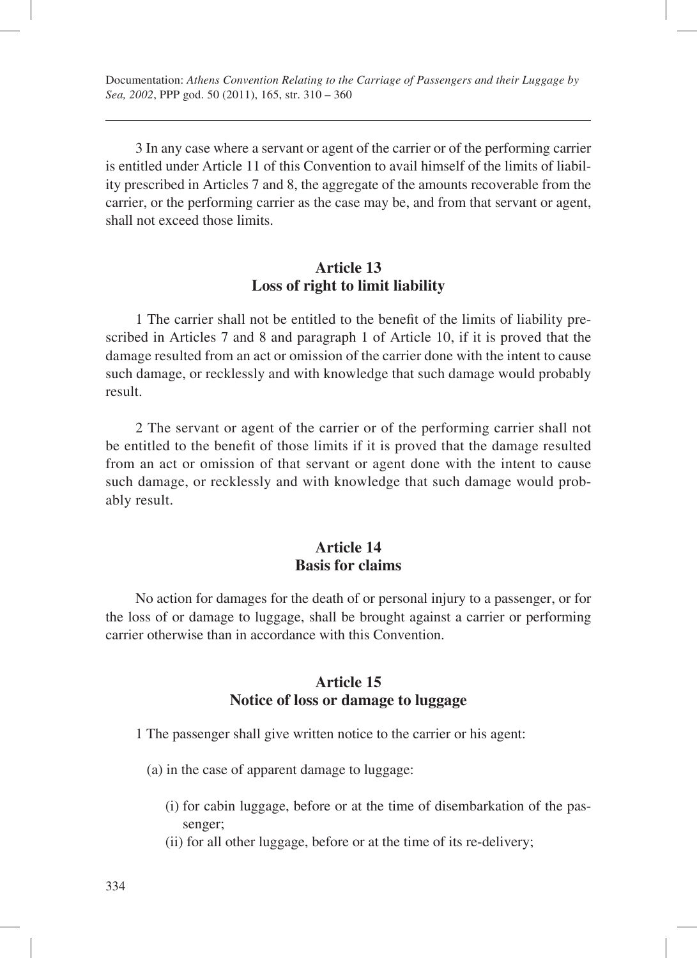3 In any case where a servant or agent of the carrier or of the performing carrier is entitled under Article 11 of this Convention to avail himself of the limits of liability prescribed in Articles 7 and 8, the aggregate of the amounts recoverable from the carrier, or the performing carrier as the case may be, and from that servant or agent, shall not exceed those limits.

#### **Article 13 Loss of right to limit liability**

1 The carrier shall not be entitled to the benefit of the limits of liability prescribed in Articles 7 and 8 and paragraph 1 of Article 10, if it is proved that the damage resulted from an act or omission of the carrier done with the intent to cause such damage, or recklessly and with knowledge that such damage would probably result.

2 The servant or agent of the carrier or of the performing carrier shall not be entitled to the benefit of those limits if it is proved that the damage resulted from an act or omission of that servant or agent done with the intent to cause such damage, or recklessly and with knowledge that such damage would probably result.

## **Article 14 Basis for claims**

No action for damages for the death of or personal injury to a passenger, or for the loss of or damage to luggage, shall be brought against a carrier or performing carrier otherwise than in accordance with this Convention.

## **Article 15 Notice of loss or damage to luggage**

1 The passenger shall give written notice to the carrier or his agent:

- (a) in the case of apparent damage to luggage:
	- (i) for cabin luggage, before or at the time of disembarkation of the passenger;
	- (ii) for all other luggage, before or at the time of its re-delivery;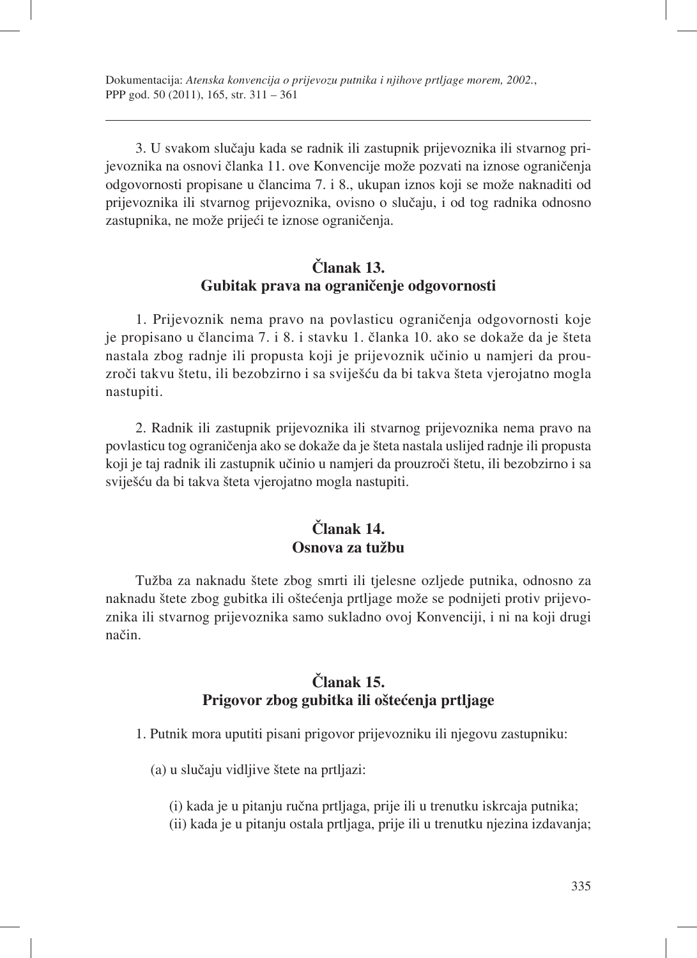3. U svakom slučaju kada se radnik ili zastupnik prijevoznika ili stvarnog prijevoznika na osnovi članka 11. ove Konvencije može pozvati na iznose ograničenja odgovornosti propisane u člancima 7. i 8., ukupan iznos koji se može naknaditi od prijevoznika ili stvarnog prijevoznika, ovisno o slučaju, i od tog radnika odnosno zastupnika, ne može prijeći te iznose ograničenja.

### **Članak 13. Gubitak prava na ograničenje odgovornosti**

1. Prijevoznik nema pravo na povlasticu ograničenja odgovornosti koje je propisano u člancima 7. i 8. i stavku 1. članka 10. ako se dokaže da je šteta nastala zbog radnje ili propusta koji je prijevoznik učinio u namjeri da prouzroči takvu štetu, ili bezobzirno i sa sviješću da bi takva šteta vjerojatno mogla nastupiti.

2. Radnik ili zastupnik prijevoznika ili stvarnog prijevoznika nema pravo na povlasticu tog ograničenja ako se dokaže da je šteta nastala uslijed radnje ili propusta koji je taj radnik ili zastupnik učinio u namjeri da prouzroči štetu, ili bezobzirno i sa sviješću da bi takva šteta vjerojatno mogla nastupiti.

## **Članak 14. Osnova za tužbu**

Tužba za naknadu štete zbog smrti ili tjelesne ozljede putnika, odnosno za naknadu štete zbog gubitka ili oštećenja prtljage može se podnijeti protiv prijevoznika ili stvarnog prijevoznika samo sukladno ovoj Konvenciji, i ni na koji drugi način.

# **Članak 15. Prigovor zbog gubitka ili oštećenja prtljage**

1. Putnik mora uputiti pisani prigovor prijevozniku ili njegovu zastupniku:

- (a) u slučaju vidljive štete na prtljazi:
	- (i) kada je u pitanju ručna prtljaga, prije ili u trenutku iskrcaja putnika;
	- (ii) kada je u pitanju ostala prtljaga, prije ili u trenutku njezina izdavanja;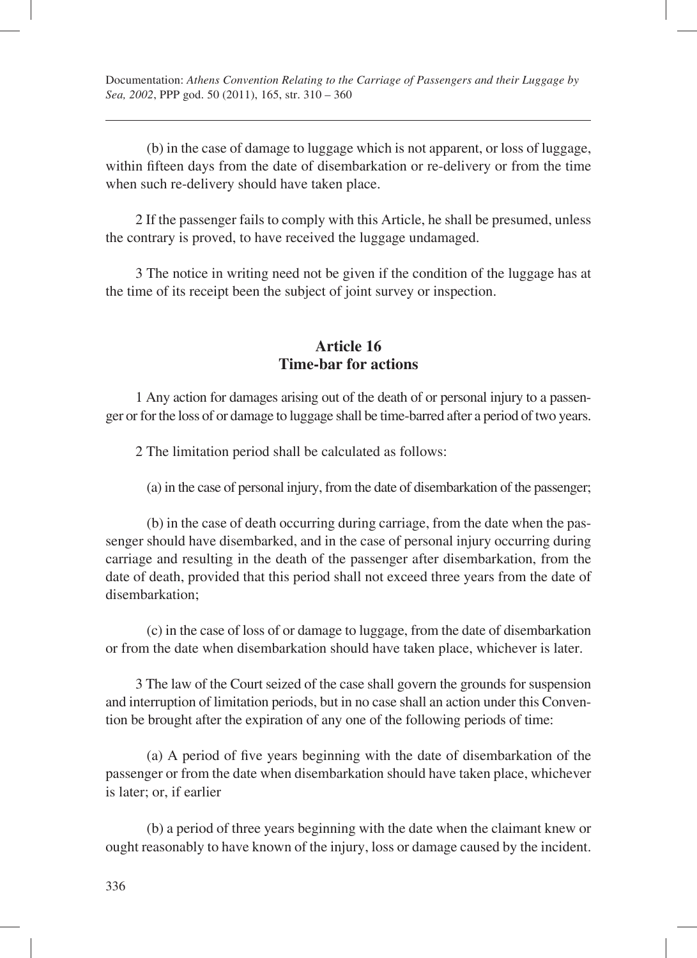(b) in the case of damage to luggage which is not apparent, or loss of luggage, within fifteen days from the date of disembarkation or re-delivery or from the time when such re-delivery should have taken place.

2 If the passenger fails to comply with this Article, he shall be presumed, unless the contrary is proved, to have received the luggage undamaged.

3 The notice in writing need not be given if the condition of the luggage has at the time of its receipt been the subject of joint survey or inspection.

#### **Article 16 Time-bar for actions**

1 Any action for damages arising out of the death of or personal injury to a passenger or for the loss of or damage to luggage shall be time-barred after a period of two years.

2 The limitation period shall be calculated as follows:

(a) in the case of personal injury, from the date of disembarkation of the passenger;

(b) in the case of death occurring during carriage, from the date when the passenger should have disembarked, and in the case of personal injury occurring during carriage and resulting in the death of the passenger after disembarkation, from the date of death, provided that this period shall not exceed three years from the date of disembarkation;

(c) in the case of loss of or damage to luggage, from the date of disembarkation or from the date when disembarkation should have taken place, whichever is later.

3 The law of the Court seized of the case shall govern the grounds for suspension and interruption of limitation periods, but in no case shall an action under this Convention be brought after the expiration of any one of the following periods of time:

(a) A period of five years beginning with the date of disembarkation of the passenger or from the date when disembarkation should have taken place, whichever is later; or, if earlier

(b) a period of three years beginning with the date when the claimant knew or ought reasonably to have known of the injury, loss or damage caused by the incident.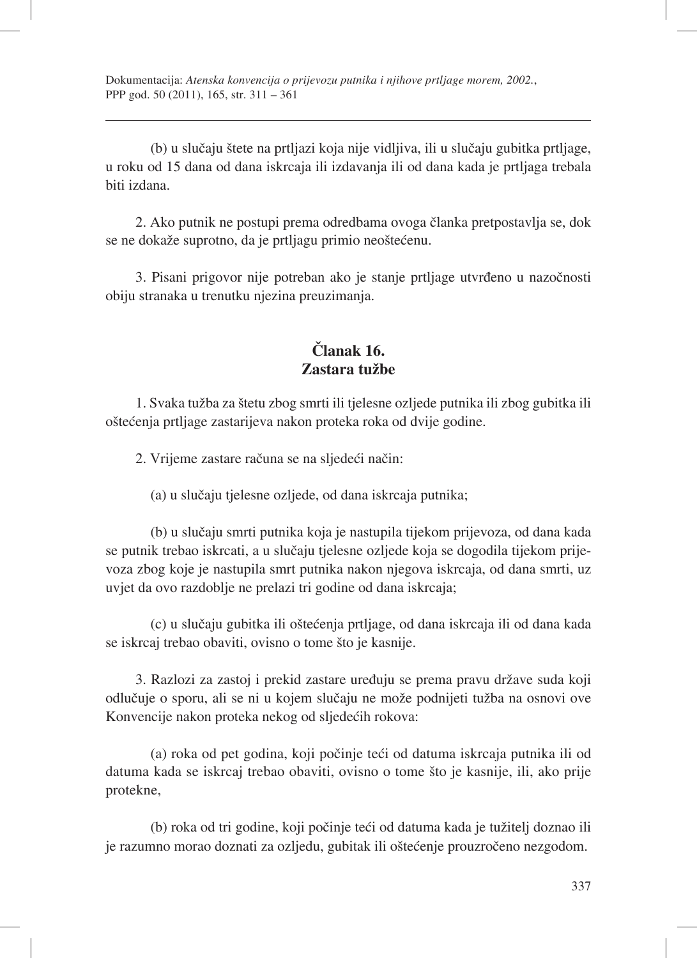(b) u slučaju štete na prtljazi koja nije vidljiva, ili u slučaju gubitka prtljage, u roku od 15 dana od dana iskrcaja ili izdavanja ili od dana kada je prtljaga trebala biti izdana.

2. Ako putnik ne postupi prema odredbama ovoga članka pretpostavlja se, dok se ne dokaže suprotno, da je prtljagu primio neoštećenu.

3. Pisani prigovor nije potreban ako je stanje prtljage utvrđeno u nazočnosti obiju stranaka u trenutku njezina preuzimanja.

## **Članak 16. Zastara tužbe**

1. Svaka tužba za štetu zbog smrti ili tjelesne ozljede putnika ili zbog gubitka ili oštećenja prtljage zastarijeva nakon proteka roka od dvije godine.

2. Vrijeme zastare računa se na sljedeći način:

(a) u slučaju tjelesne ozljede, od dana iskrcaja putnika;

(b) u slučaju smrti putnika koja je nastupila tijekom prijevoza, od dana kada se putnik trebao iskrcati, a u slučaju tjelesne ozljede koja se dogodila tijekom prijevoza zbog koje je nastupila smrt putnika nakon njegova iskrcaja, od dana smrti, uz uvjet da ovo razdoblje ne prelazi tri godine od dana iskrcaja;

(c) u slučaju gubitka ili oštećenja prtljage, od dana iskrcaja ili od dana kada se iskrcaj trebao obaviti, ovisno o tome što je kasnije.

3. Razlozi za zastoj i prekid zastare uređuju se prema pravu države suda koji odlučuje o sporu, ali se ni u kojem slučaju ne može podnijeti tužba na osnovi ove Konvencije nakon proteka nekog od sljedećih rokova:

(a) roka od pet godina, koji počinje teći od datuma iskrcaja putnika ili od datuma kada se iskrcaj trebao obaviti, ovisno o tome što je kasnije, ili, ako prije protekne,

(b) roka od tri godine, koji počinje teći od datuma kada je tužitelj doznao ili je razumno morao doznati za ozljedu, gubitak ili oštećenje prouzročeno nezgodom.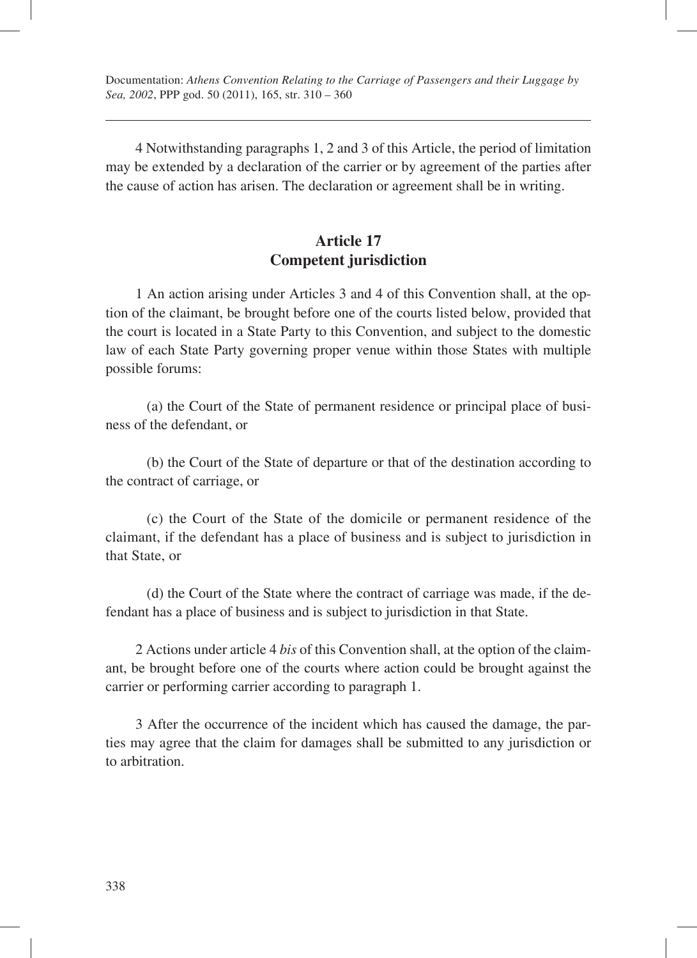4 Notwithstanding paragraphs 1, 2 and 3 of this Article, the period of limitation may be extended by a declaration of the carrier or by agreement of the parties after the cause of action has arisen. The declaration or agreement shall be in writing.

## **Article 17 Competent jurisdiction**

1 An action arising under Articles 3 and 4 of this Convention shall, at the option of the claimant, be brought before one of the courts listed below, provided that the court is located in a State Party to this Convention, and subject to the domestic law of each State Party governing proper venue within those States with multiple possible forums:

(a) the Court of the State of permanent residence or principal place of business of the defendant, or

(b) the Court of the State of departure or that of the destination according to the contract of carriage, or

(c) the Court of the State of the domicile or permanent residence of the claimant, if the defendant has a place of business and is subject to jurisdiction in that State, or

(d) the Court of the State where the contract of carriage was made, if the defendant has a place of business and is subject to jurisdiction in that State.

2 Actions under article 4 *bis* of this Convention shall, at the option of the claimant, be brought before one of the courts where action could be brought against the carrier or performing carrier according to paragraph 1.

3 After the occurrence of the incident which has caused the damage, the parties may agree that the claim for damages shall be submitted to any jurisdiction or to arbitration.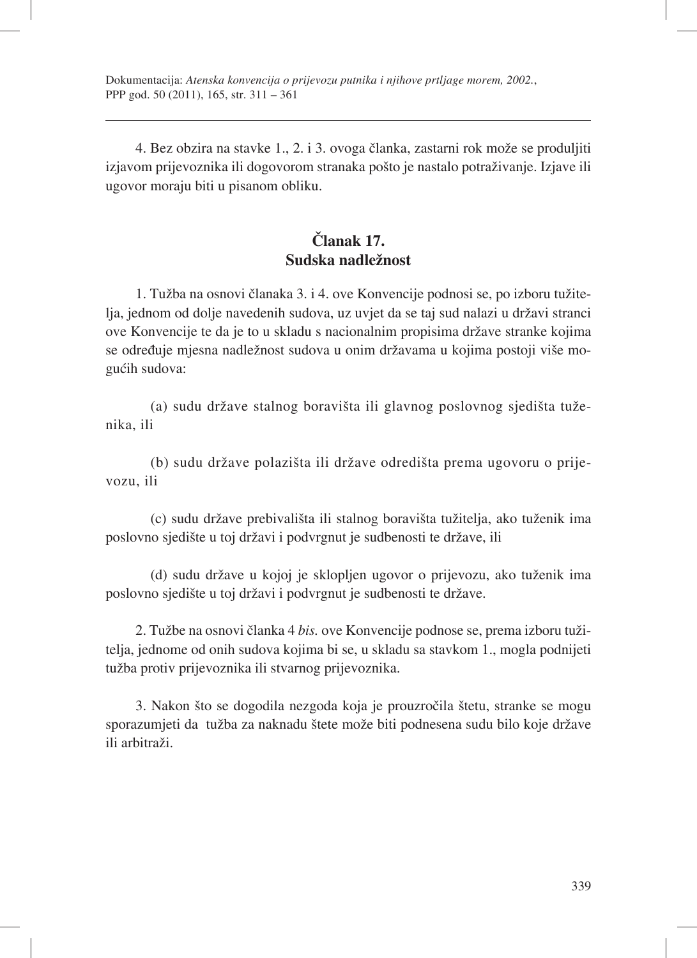4. Bez obzira na stavke 1., 2. i 3. ovoga članka, zastarni rok može se produljiti izjavom prijevoznika ili dogovorom stranaka pošto je nastalo potraživanje. Izjave ili ugovor moraju biti u pisanom obliku.

# **Članak 17. Sudska nadležnost**

1. Tužba na osnovi članaka 3. i 4. ove Konvencije podnosi se, po izboru tužitelja, jednom od dolje navedenih sudova, uz uvjet da se taj sud nalazi u državi stranci ove Konvencije te da je to u skladu s nacionalnim propisima države stranke kojima se određuje mjesna nadležnost sudova u onim državama u kojima postoji više mogućih sudova:

(a) sudu države stalnog boravišta ili glavnog poslovnog sjedišta tuženika, ili

(b) sudu države polazišta ili države odredišta prema ugovoru o prijevozu, ili

(c) sudu države prebivališta ili stalnog boravišta tužitelja, ako tuženik ima poslovno sjedište u toj državi i podvrgnut je sudbenosti te države, ili

(d) sudu države u kojoj je sklopljen ugovor o prijevozu, ako tuženik ima poslovno sjedište u toj državi i podvrgnut je sudbenosti te države.

2. Tužbe na osnovi članka 4 *bis.* ove Konvencije podnose se, prema izboru tužitelja, jednome od onih sudova kojima bi se, u skladu sa stavkom 1., mogla podnijeti tužba protiv prijevoznika ili stvarnog prijevoznika.

3. Nakon što se dogodila nezgoda koja je prouzročila štetu, stranke se mogu sporazumjeti da tužba za naknadu štete može biti podnesena sudu bilo koje države ili arbitraži.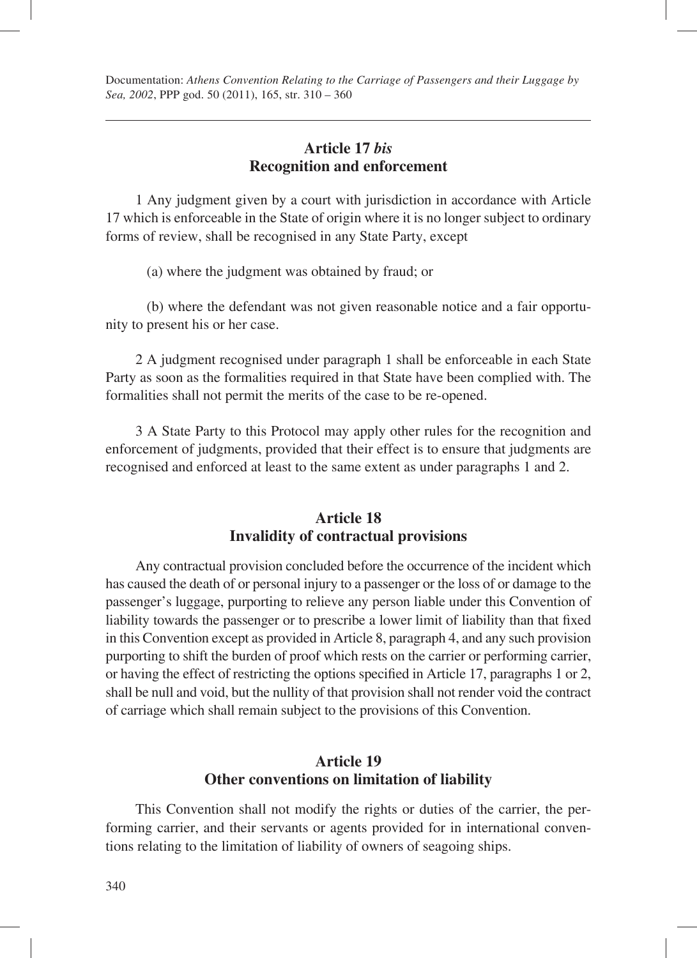#### **Article 17** *bis* **Recognition and enforcement**

1 Any judgment given by a court with jurisdiction in accordance with Article 17 which is enforceable in the State of origin where it is no longer subject to ordinary forms of review, shall be recognised in any State Party, except

(a) where the judgment was obtained by fraud; or

(b) where the defendant was not given reasonable notice and a fair opportunity to present his or her case.

2 A judgment recognised under paragraph 1 shall be enforceable in each State Party as soon as the formalities required in that State have been complied with. The formalities shall not permit the merits of the case to be re-opened.

3 A State Party to this Protocol may apply other rules for the recognition and enforcement of judgments, provided that their effect is to ensure that judgments are recognised and enforced at least to the same extent as under paragraphs 1 and 2.

#### **Article 18 Invalidity of contractual provisions**

Any contractual provision concluded before the occurrence of the incident which has caused the death of or personal injury to a passenger or the loss of or damage to the passenger's luggage, purporting to relieve any person liable under this Convention of liability towards the passenger or to prescribe a lower limit of liability than that fixed in this Convention except as provided in Article 8, paragraph 4, and any such provision purporting to shift the burden of proof which rests on the carrier or performing carrier, or having the effect of restricting the options specified in Article 17, paragraphs 1 or 2, shall be null and void, but the nullity of that provision shall not render void the contract of carriage which shall remain subject to the provisions of this Convention.

#### **Article 19 Other conventions on limitation of liability**

This Convention shall not modify the rights or duties of the carrier, the performing carrier, and their servants or agents provided for in international conventions relating to the limitation of liability of owners of seagoing ships.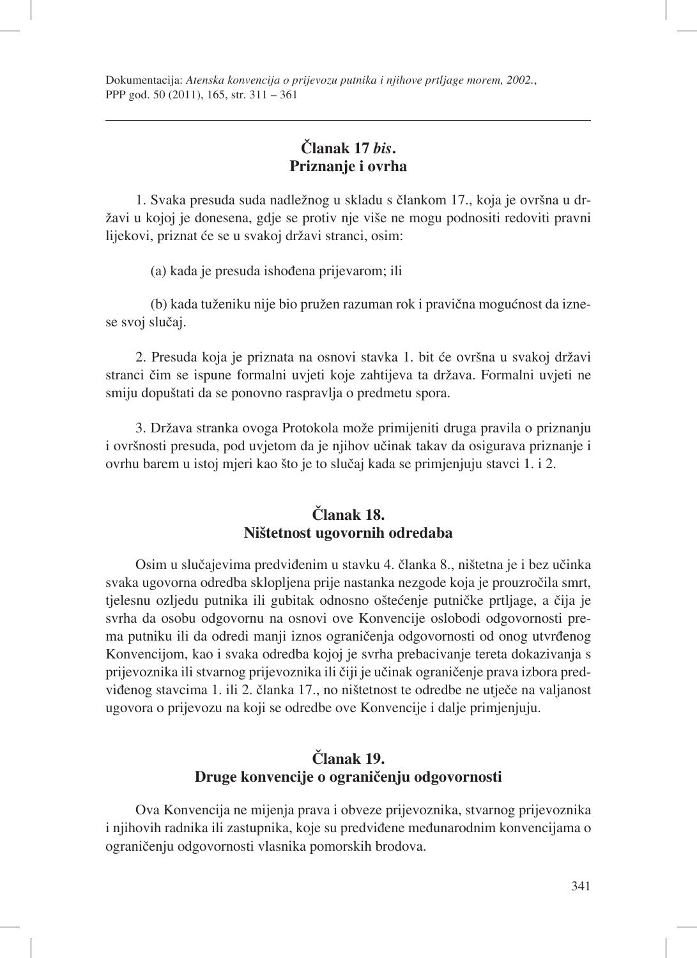## **Članak 17** *bis***. Priznanje i ovrha**

1. Svaka presuda suda nadležnog u skladu s člankom 17., koja je ovršna u državi u kojoj je donesena, gdje se protiv nje više ne mogu podnositi redoviti pravni lijekovi, priznat će se u svakoj državi stranci, osim:

(a) kada je presuda ishođena prijevarom; ili

(b) kada tuženiku nije bio pružen razuman rok i pravična mogućnost da iznese svoj slučaj.

2. Presuda koja je priznata na osnovi stavka 1. bit će ovršna u svakoj državi stranci čim se ispune formalni uvjeti koje zahtijeva ta država. Formalni uvjeti ne smiju dopuštati da se ponovno raspravlja o predmetu spora.

3. Država stranka ovoga Protokola može primijeniti druga pravila o priznanju i ovršnosti presuda, pod uvjetom da je njihov učinak takav da osigurava priznanje i ovrhu barem u istoj mjeri kao što je to slučaj kada se primjenjuju stavci 1. i 2.

## **Članak 18. Ništetnost ugovornih odredaba**

Osim u slučajevima predviđenim u stavku 4. članka 8., ništetna je i bez učinka svaka ugovorna odredba sklopljena prije nastanka nezgode koja je prouzročila smrt, tjelesnu ozljedu putnika ili gubitak odnosno oštećenje putničke prtljage, a čija je svrha da osobu odgovornu na osnovi ove Konvencije oslobodi odgovornosti prema putniku ili da odredi manji iznos ograničenja odgovornosti od onog utvrđenog Konvencijom, kao i svaka odredba kojoj je svrha prebacivanje tereta dokazivanja s prijevoznika ili stvarnog prijevoznika ili čiji je učinak ograničenje prava izbora predviđenog stavcima 1. ili 2. članka 17., no ništetnost te odredbe ne utječe na valjanost ugovora o prijevozu na koji se odredbe ove Konvencije i dalje primjenjuju.

# **Članak 19. Druge konvencije o ograničenju odgovornosti**

Ova Konvencija ne mijenja prava i obveze prijevoznika, stvarnog prijevoznika i njihovih radnika ili zastupnika, koje su predviđene međunarodnim konvencijama o ograničenju odgovornosti vlasnika pomorskih brodova.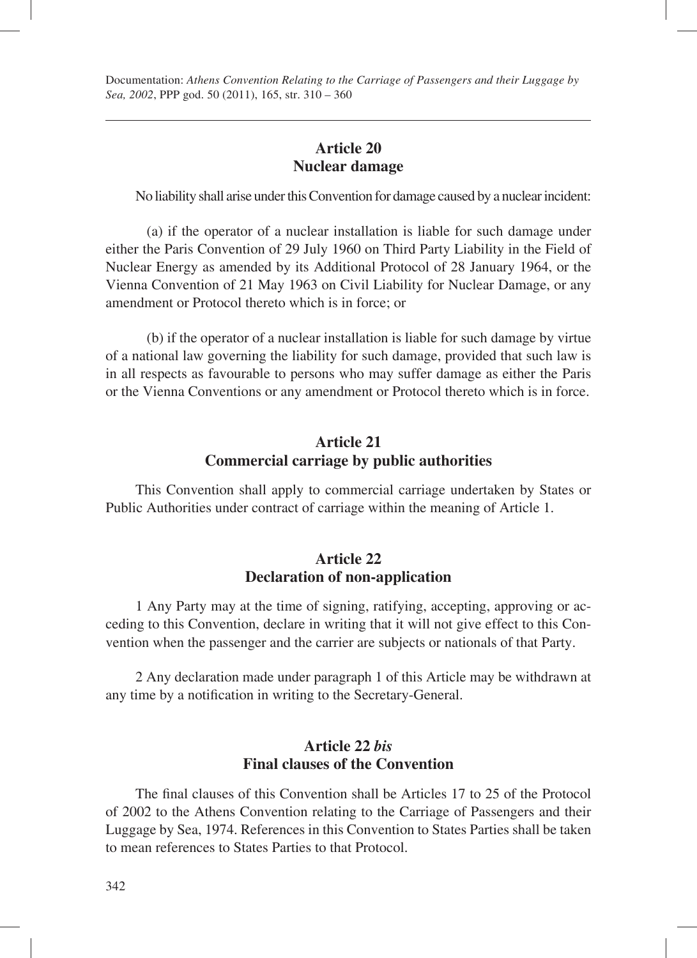#### **Article 20 Nuclear damage**

No liability shall arise under this Convention for damage caused by a nuclear incident:

(a) if the operator of a nuclear installation is liable for such damage under either the Paris Convention of 29 July 1960 on Third Party Liability in the Field of Nuclear Energy as amended by its Additional Protocol of 28 January 1964, or the Vienna Convention of 21 May 1963 on Civil Liability for Nuclear Damage, or any amendment or Protocol thereto which is in force; or

(b) if the operator of a nuclear installation is liable for such damage by virtue of a national law governing the liability for such damage, provided that such law is in all respects as favourable to persons who may suffer damage as either the Paris or the Vienna Conventions or any amendment or Protocol thereto which is in force.

#### **Article 21 Commercial carriage by public authorities**

This Convention shall apply to commercial carriage undertaken by States or Public Authorities under contract of carriage within the meaning of Article 1.

#### **Article 22 Declaration of non-application**

1 Any Party may at the time of signing, ratifying, accepting, approving or acceding to this Convention, declare in writing that it will not give effect to this Convention when the passenger and the carrier are subjects or nationals of that Party.

2 Any declaration made under paragraph 1 of this Article may be withdrawn at any time by a notification in writing to the Secretary-General.

#### **Article 22** *bis* **Final clauses of the Convention**

The final clauses of this Convention shall be Articles 17 to 25 of the Protocol of 2002 to the Athens Convention relating to the Carriage of Passengers and their Luggage by Sea, 1974. References in this Convention to States Parties shall be taken to mean references to States Parties to that Protocol.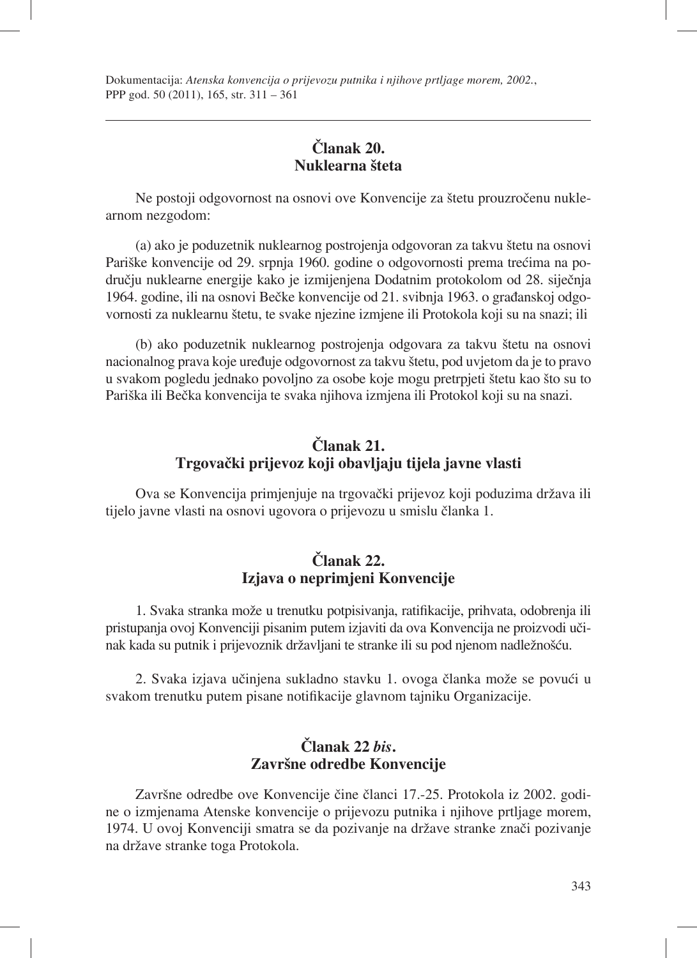#### **Članak 20. Nuklearna šteta**

Ne postoji odgovornost na osnovi ove Konvencije za štetu prouzročenu nuklearnom nezgodom:

(a) ako je poduzetnik nuklearnog postrojenja odgovoran za takvu štetu na osnovi Pariške konvencije od 29. srpnja 1960. godine o odgovornosti prema trećima na području nuklearne energije kako je izmijenjena Dodatnim protokolom od 28. siječnja 1964. godine, ili na osnovi Bečke konvencije od 21. svibnja 1963. o građanskoj odgovornosti za nuklearnu štetu, te svake njezine izmjene ili Protokola koji su na snazi; ili

(b) ako poduzetnik nuklearnog postrojenja odgovara za takvu štetu na osnovi nacionalnog prava koje uređuje odgovornost za takvu štetu, pod uvjetom da je to pravo u svakom pogledu jednako povoljno za osobe koje mogu pretrpjeti štetu kao što su to Pariška ili Bečka konvencija te svaka njihova izmjena ili Protokol koji su na snazi.

## **Članak 21. Trgovački prijevoz koji obavljaju tijela javne vlasti**

Ova se Konvencija primjenjuje na trgovački prijevoz koji poduzima država ili tijelo javne vlasti na osnovi ugovora o prijevozu u smislu članka 1.

## **Članak 22. Izjava o neprimjeni Konvencije**

1. Svaka stranka može u trenutku potpisivanja, ratifi kacije, prihvata, odobrenja ili pristupanja ovoj Konvenciji pisanim putem izjaviti da ova Konvencija ne proizvodi učinak kada su putnik i prijevoznik državljani te stranke ili su pod njenom nadležnošću.

2. Svaka izjava učinjena sukladno stavku 1. ovoga članka može se povući u svakom trenutku putem pisane notifikacije glavnom tajniku Organizacije.

## **Članak 22** *bis***. Završne odredbe Konvencije**

Završne odredbe ove Konvencije čine članci 17.-25. Protokola iz 2002. godine o izmjenama Atenske konvencije o prijevozu putnika i njihove prtljage morem, 1974. U ovoj Konvenciji smatra se da pozivanje na države stranke znači pozivanje na države stranke toga Protokola.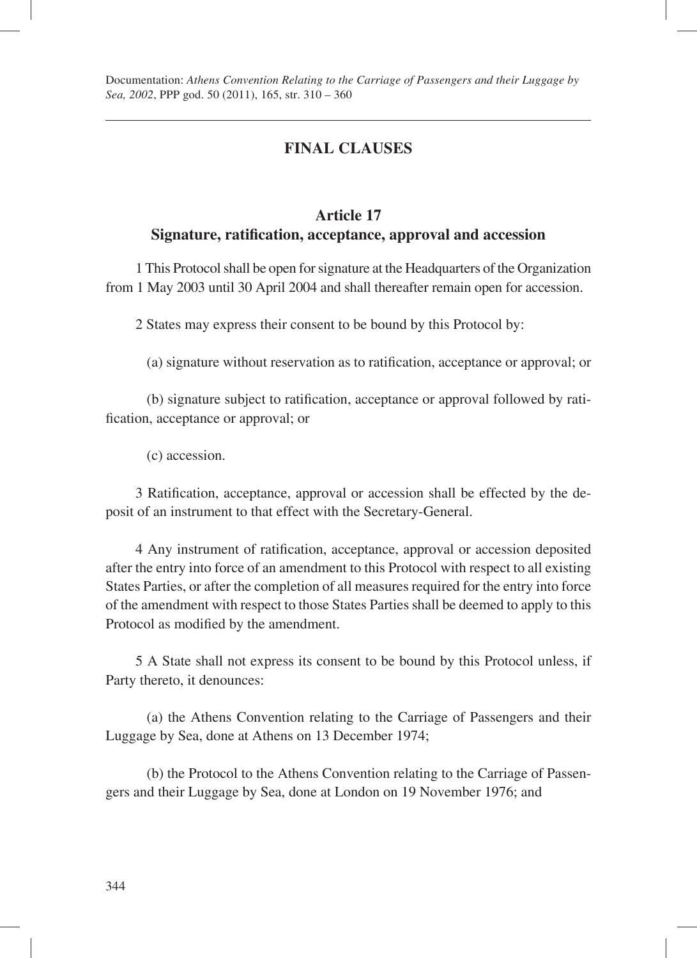#### **FINAL CLAUSES**

#### **Article 17** Signature, ratification, acceptance, approval and accession

1 This Protocol shall be open for signature at the Headquarters of the Organization from 1 May 2003 until 30 April 2004 and shall thereafter remain open for accession.

2 States may express their consent to be bound by this Protocol by:

(a) signature without reservation as to ratification, acceptance or approval; or

(b) signature subject to ratification, acceptance or approval followed by ratification, acceptance or approval; or

(c) accession.

3 Ratification, acceptance, approval or accession shall be effected by the deposit of an instrument to that effect with the Secretary-General.

4 Any instrument of ratification, acceptance, approval or accession deposited after the entry into force of an amendment to this Protocol with respect to all existing States Parties, or after the completion of all measures required for the entry into force of the amendment with respect to those States Parties shall be deemed to apply to this Protocol as modified by the amendment.

5 A State shall not express its consent to be bound by this Protocol unless, if Party thereto, it denounces:

(a) the Athens Convention relating to the Carriage of Passengers and their Luggage by Sea, done at Athens on 13 December 1974;

(b) the Protocol to the Athens Convention relating to the Carriage of Passengers and their Luggage by Sea, done at London on 19 November 1976; and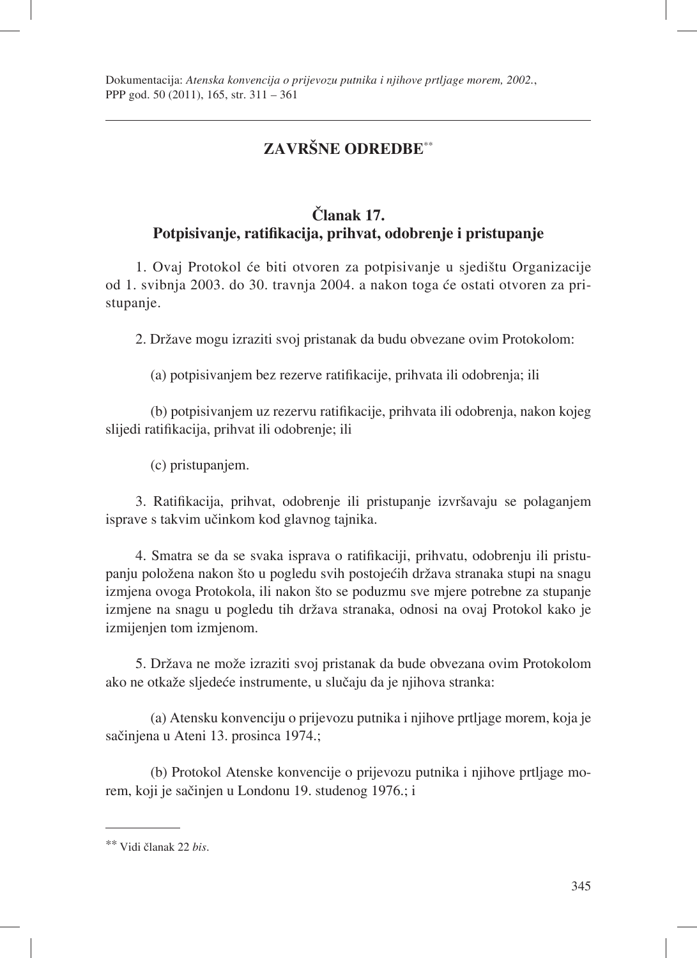# **ZAVRŠNE ODREDBE**\*\*

# **Članak 17.** Potpisivanje, ratifikacija, prihvat, odobrenje i pristupanje

1. Ovaj Protokol će biti otvoren za potpisivanje u sjedištu Organizacije od 1. svibnja 2003. do 30. travnja 2004. a nakon toga će ostati otvoren za pristupanje.

2. Države mogu izraziti svoj pristanak da budu obvezane ovim Protokolom:

(a) potpisivanjem bez rezerve ratifi kacije, prihvata ili odobrenja; ili

(b) potpisivanjem uz rezervu ratifi kacije, prihvata ili odobrenja, nakon kojeg slijedi ratifikacija, prihvat ili odobrenje; ili

(c) pristupanjem.

3. Ratifikacija, prihvat, odobrenje ili pristupanje izvršavaju se polaganjem isprave s takvim učinkom kod glavnog tajnika.

4. Smatra se da se svaka isprava o ratifikaciji, prihvatu, odobrenju ili pristupanju položena nakon što u pogledu svih postojećih država stranaka stupi na snagu izmjena ovoga Protokola, ili nakon što se poduzmu sve mjere potrebne za stupanje izmjene na snagu u pogledu tih država stranaka, odnosi na ovaj Protokol kako je izmijenjen tom izmjenom.

5. Država ne može izraziti svoj pristanak da bude obvezana ovim Protokolom ako ne otkaže sljedeće instrumente, u slučaju da je njihova stranka:

(a) Atensku konvenciju o prijevozu putnika i njihove prtljage morem, koja je sačinjena u Ateni 13. prosinca 1974.;

(b) Protokol Atenske konvencije o prijevozu putnika i njihove prtljage morem, koji je sačinjen u Londonu 19. studenog 1976.; i

<sup>\*\*</sup> Vidi članak 22 *bis*.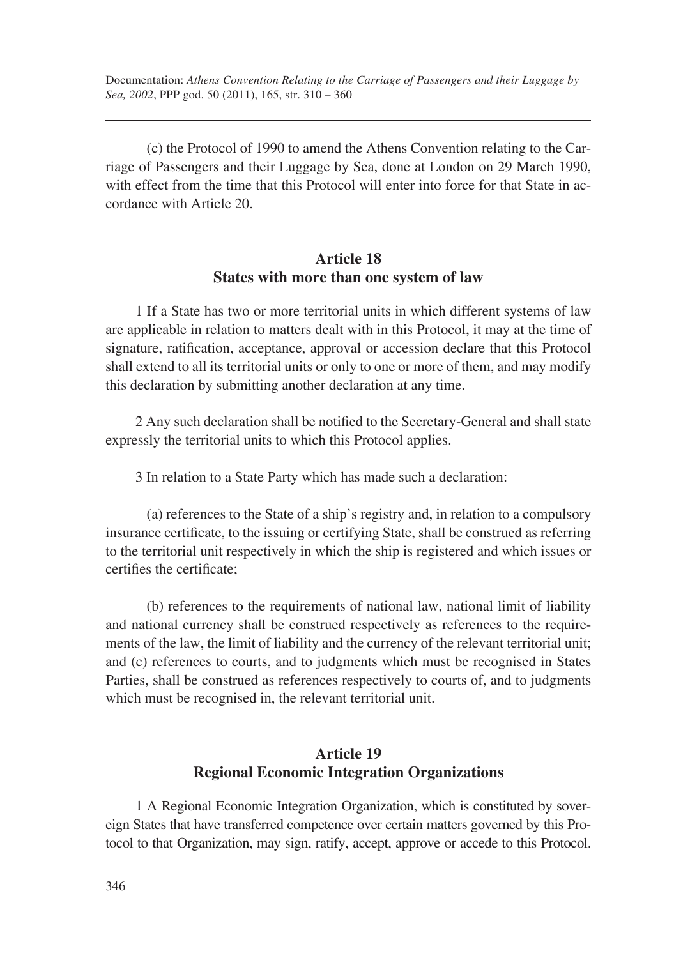(c) the Protocol of 1990 to amend the Athens Convention relating to the Carriage of Passengers and their Luggage by Sea, done at London on 29 March 1990, with effect from the time that this Protocol will enter into force for that State in accordance with Article 20.

#### **Article 18 States with more than one system of law**

1 If a State has two or more territorial units in which different systems of law are applicable in relation to matters dealt with in this Protocol, it may at the time of signature, ratification, acceptance, approval or accession declare that this Protocol shall extend to all its territorial units or only to one or more of them, and may modify this declaration by submitting another declaration at any time.

2 Any such declaration shall be notified to the Secretary-General and shall state expressly the territorial units to which this Protocol applies.

3 In relation to a State Party which has made such a declaration:

(a) references to the State of a ship's registry and, in relation to a compulsory insurance certificate, to the issuing or certifying State, shall be construed as referring to the territorial unit respectively in which the ship is registered and which issues or certifies the certificate;

(b) references to the requirements of national law, national limit of liability and national currency shall be construed respectively as references to the requirements of the law, the limit of liability and the currency of the relevant territorial unit; and (c) references to courts, and to judgments which must be recognised in States Parties, shall be construed as references respectively to courts of, and to judgments which must be recognised in, the relevant territorial unit.

## **Article 19 Regional Economic Integration Organizations**

1 A Regional Economic Integration Organization, which is constituted by sovereign States that have transferred competence over certain matters governed by this Protocol to that Organization, may sign, ratify, accept, approve or accede to this Protocol.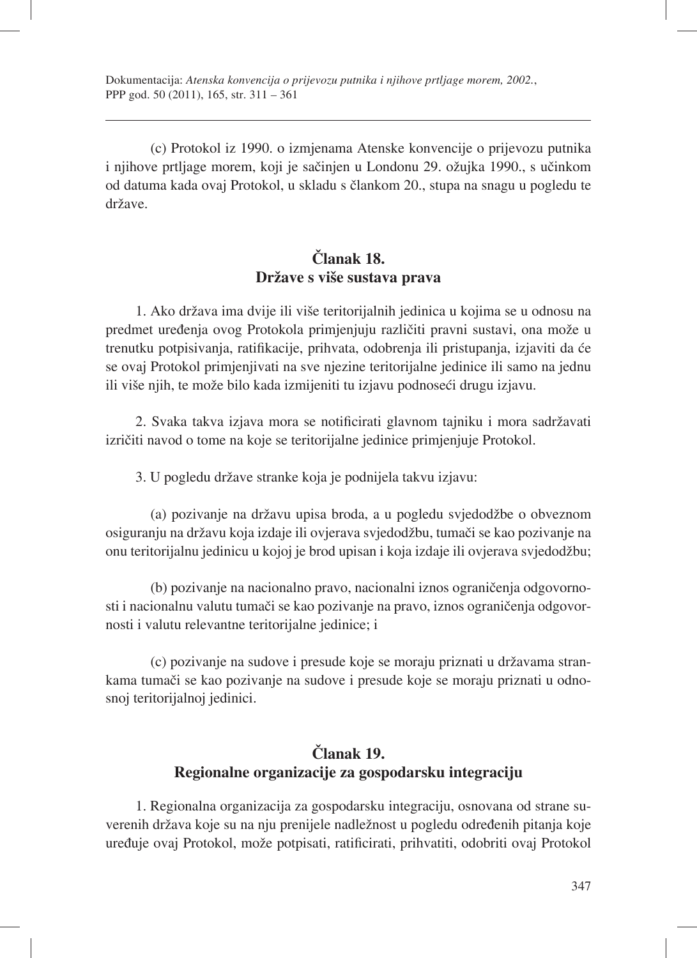(c) Protokol iz 1990. o izmjenama Atenske konvencije o prijevozu putnika i njihove prtljage morem, koji je sačinjen u Londonu 29. ožujka 1990., s učinkom od datuma kada ovaj Protokol, u skladu s člankom 20., stupa na snagu u pogledu te države.

## **Članak 18. Države s više sustava prava**

1. Ako država ima dvije ili više teritorijalnih jedinica u kojima se u odnosu na predmet uređenja ovog Protokola primjenjuju različiti pravni sustavi, ona može u trenutku potpisivanja, ratifikacije, prihvata, odobrenja ili pristupanja, izjaviti da će se ovaj Protokol primjenjivati na sve njezine teritorijalne jedinice ili samo na jednu ili više njih, te može bilo kada izmijeniti tu izjavu podnoseći drugu izjavu.

2. Svaka takva izjava mora se notificirati glavnom tajniku i mora sadržavati izričiti navod o tome na koje se teritorijalne jedinice primjenjuje Protokol.

3. U pogledu države stranke koja je podnijela takvu izjavu:

(a) pozivanje na državu upisa broda, a u pogledu svjedodžbe o obveznom osiguranju na državu koja izdaje ili ovjerava svjedodžbu, tumači se kao pozivanje na onu teritorijalnu jedinicu u kojoj je brod upisan i koja izdaje ili ovjerava svjedodžbu;

(b) pozivanje na nacionalno pravo, nacionalni iznos ograničenja odgovornosti i nacionalnu valutu tumači se kao pozivanje na pravo, iznos ograničenja odgovornosti i valutu relevantne teritorijalne jedinice; i

(c) pozivanje na sudove i presude koje se moraju priznati u državama strankama tumači se kao pozivanje na sudove i presude koje se moraju priznati u odnosnoj teritorijalnoj jedinici.

# **Članak 19. Regionalne organizacije za gospodarsku integraciju**

1. Regionalna organizacija za gospodarsku integraciju, osnovana od strane suverenih država koje su na nju prenijele nadležnost u pogledu određenih pitanja koje uređuje ovaj Protokol, može potpisati, ratificirati, prihvatiti, odobriti ovaj Protokol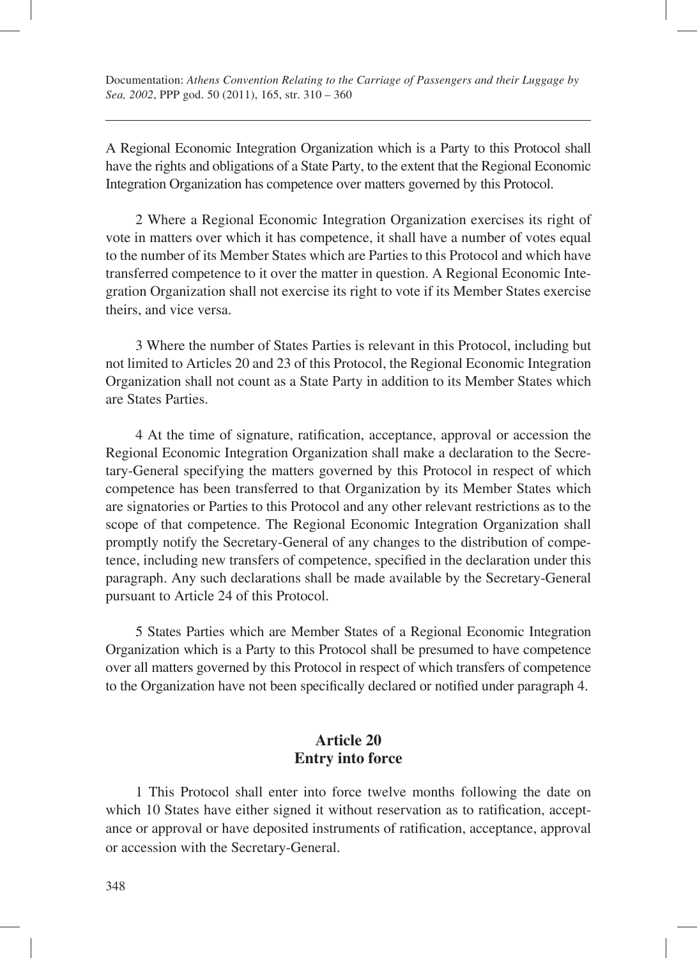A Regional Economic Integration Organization which is a Party to this Protocol shall have the rights and obligations of a State Party, to the extent that the Regional Economic Integration Organization has competence over matters governed by this Protocol.

2 Where a Regional Economic Integration Organization exercises its right of vote in matters over which it has competence, it shall have a number of votes equal to the number of its Member States which are Parties to this Protocol and which have transferred competence to it over the matter in question. A Regional Economic Integration Organization shall not exercise its right to vote if its Member States exercise theirs, and vice versa.

3 Where the number of States Parties is relevant in this Protocol, including but not limited to Articles 20 and 23 of this Protocol, the Regional Economic Integration Organization shall not count as a State Party in addition to its Member States which are States Parties.

4 At the time of signature, ratification, acceptance, approval or accession the Regional Economic Integration Organization shall make a declaration to the Secretary-General specifying the matters governed by this Protocol in respect of which competence has been transferred to that Organization by its Member States which are signatories or Parties to this Protocol and any other relevant restrictions as to the scope of that competence. The Regional Economic Integration Organization shall promptly notify the Secretary-General of any changes to the distribution of competence, including new transfers of competence, specified in the declaration under this paragraph. Any such declarations shall be made available by the Secretary-General pursuant to Article 24 of this Protocol.

5 States Parties which are Member States of a Regional Economic Integration Organization which is a Party to this Protocol shall be presumed to have competence over all matters governed by this Protocol in respect of which transfers of competence to the Organization have not been specifically declared or notified under paragraph 4.

#### **Article 20 Entry into force**

1 This Protocol shall enter into force twelve months following the date on which 10 States have either signed it without reservation as to ratification, acceptance or approval or have deposited instruments of ratification, acceptance, approval or accession with the Secretary-General.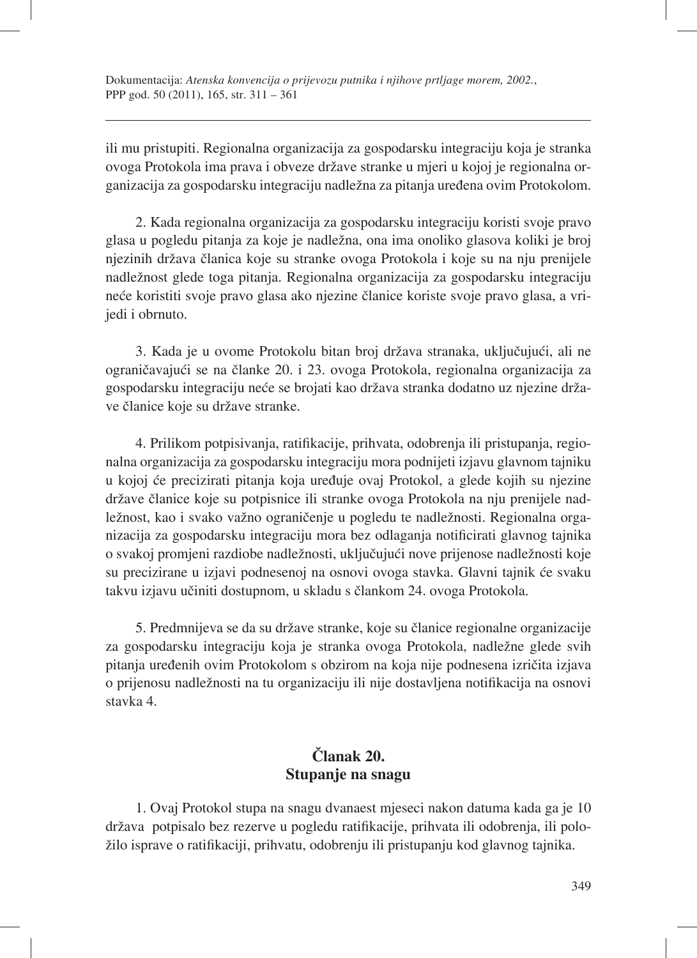ili mu pristupiti. Regionalna organizacija za gospodarsku integraciju koja je stranka ovoga Protokola ima prava i obveze države stranke u mjeri u kojoj je regionalna organizacija za gospodarsku integraciju nadležna za pitanja uređena ovim Protokolom.

2. Kada regionalna organizacija za gospodarsku integraciju koristi svoje pravo glasa u pogledu pitanja za koje je nadležna, ona ima onoliko glasova koliki je broj njezinih država članica koje su stranke ovoga Protokola i koje su na nju prenijele nadležnost glede toga pitanja. Regionalna organizacija za gospodarsku integraciju neće koristiti svoje pravo glasa ako njezine članice koriste svoje pravo glasa, a vrijedi i obrnuto.

3. Kada je u ovome Protokolu bitan broj država stranaka, uključujući, ali ne ograničavajući se na članke 20. i 23. ovoga Protokola, regionalna organizacija za gospodarsku integraciju neće se brojati kao država stranka dodatno uz njezine države članice koje su države stranke.

4. Prilikom potpisivanja, ratifi kacije, prihvata, odobrenja ili pristupanja, regionalna organizacija za gospodarsku integraciju mora podnijeti izjavu glavnom tajniku u kojoj će precizirati pitanja koja uređuje ovaj Protokol, a glede kojih su njezine države članice koje su potpisnice ili stranke ovoga Protokola na nju prenijele nadležnost, kao i svako važno ograničenje u pogledu te nadležnosti. Regionalna organizacija za gospodarsku integraciju mora bez odlaganja notificirati glavnog tajnika o svakoj promjeni razdiobe nadležnosti, uključujući nove prijenose nadležnosti koje su precizirane u izjavi podnesenoj na osnovi ovoga stavka. Glavni tajnik će svaku takvu izjavu učiniti dostupnom, u skladu s člankom 24. ovoga Protokola.

5. Predmnijeva se da su države stranke, koje su članice regionalne organizacije za gospodarsku integraciju koja je stranka ovoga Protokola, nadležne glede svih pitanja uređenih ovim Protokolom s obzirom na koja nije podnesena izričita izjava o prijenosu nadležnosti na tu organizaciju ili nije dostavljena notifi kacija na osnovi stavka 4.

# **Članak 20. Stupanje na snagu**

1. Ovaj Protokol stupa na snagu dvanaest mjeseci nakon datuma kada ga je 10 država potpisalo bez rezerve u pogledu ratifikacije, prihvata ili odobrenja, ili položilo isprave o ratifi kaciji, prihvatu, odobrenju ili pristupanju kod glavnog tajnika.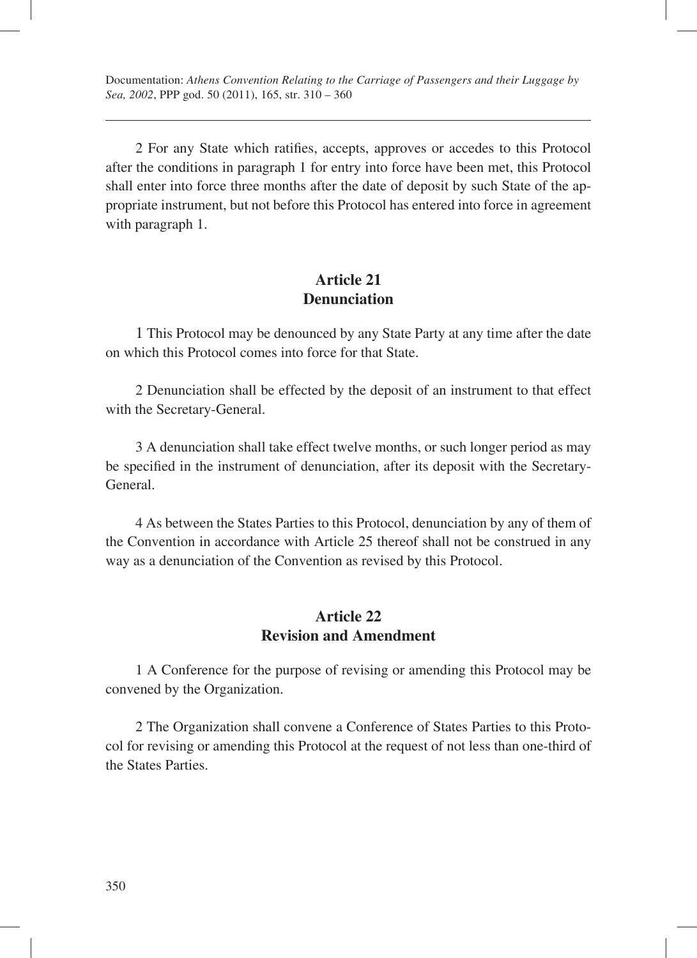2 For any State which ratifies, accepts, approves or accedes to this Protocol after the conditions in paragraph 1 for entry into force have been met, this Protocol shall enter into force three months after the date of deposit by such State of the appropriate instrument, but not before this Protocol has entered into force in agreement with paragraph 1.

### **Article 21 Denunciation**

1 This Protocol may be denounced by any State Party at any time after the date on which this Protocol comes into force for that State.

2 Denunciation shall be effected by the deposit of an instrument to that effect with the Secretary-General.

3 A denunciation shall take effect twelve months, or such longer period as may be specified in the instrument of denunciation, after its deposit with the Secretary-General.

4 As between the States Parties to this Protocol, denunciation by any of them of the Convention in accordance with Article 25 thereof shall not be construed in any way as a denunciation of the Convention as revised by this Protocol.

## **Article 22 Revision and Amendment**

1 A Conference for the purpose of revising or amending this Protocol may be convened by the Organization.

2 The Organization shall convene a Conference of States Parties to this Protocol for revising or amending this Protocol at the request of not less than one-third of the States Parties.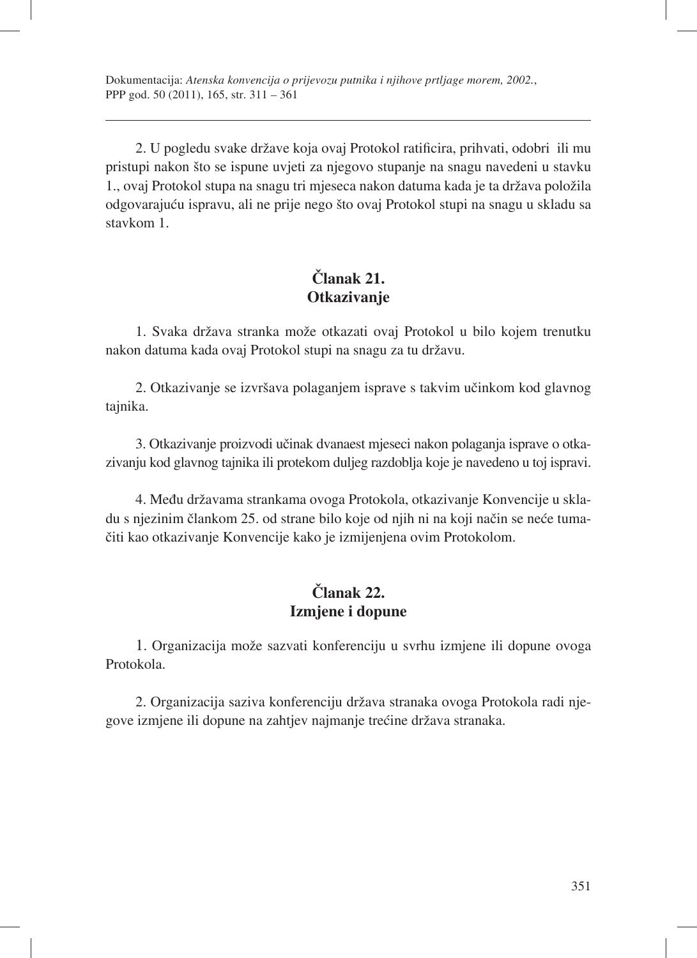2. U pogledu svake države koja ovaj Protokol ratificira, prihvati, odobri ili mu pristupi nakon što se ispune uvjeti za njegovo stupanje na snagu navedeni u stavku 1., ovaj Protokol stupa na snagu tri mjeseca nakon datuma kada je ta država položila odgovarajuću ispravu, ali ne prije nego što ovaj Protokol stupi na snagu u skladu sa stavkom 1.

# **Članak 21. Otkazivanje**

1. Svaka država stranka može otkazati ovaj Protokol u bilo kojem trenutku nakon datuma kada ovaj Protokol stupi na snagu za tu državu.

2. Otkazivanje se izvršava polaganjem isprave s takvim učinkom kod glavnog tajnika.

3. Otkazivanje proizvodi učinak dvanaest mjeseci nakon polaganja isprave o otkazivanju kod glavnog tajnika ili protekom duljeg razdoblja koje je navedeno u toj ispravi.

4. Među državama strankama ovoga Protokola, otkazivanje Konvencije u skladu s njezinim člankom 25. od strane bilo koje od njih ni na koji način se neće tumačiti kao otkazivanje Konvencije kako je izmijenjena ovim Protokolom.

# **Članak 22. Izmjene i dopune**

1. Organizacija može sazvati konferenciju u svrhu izmjene ili dopune ovoga Protokola.

2. Organizacija saziva konferenciju država stranaka ovoga Protokola radi njegove izmjene ili dopune na zahtjev najmanje trećine država stranaka.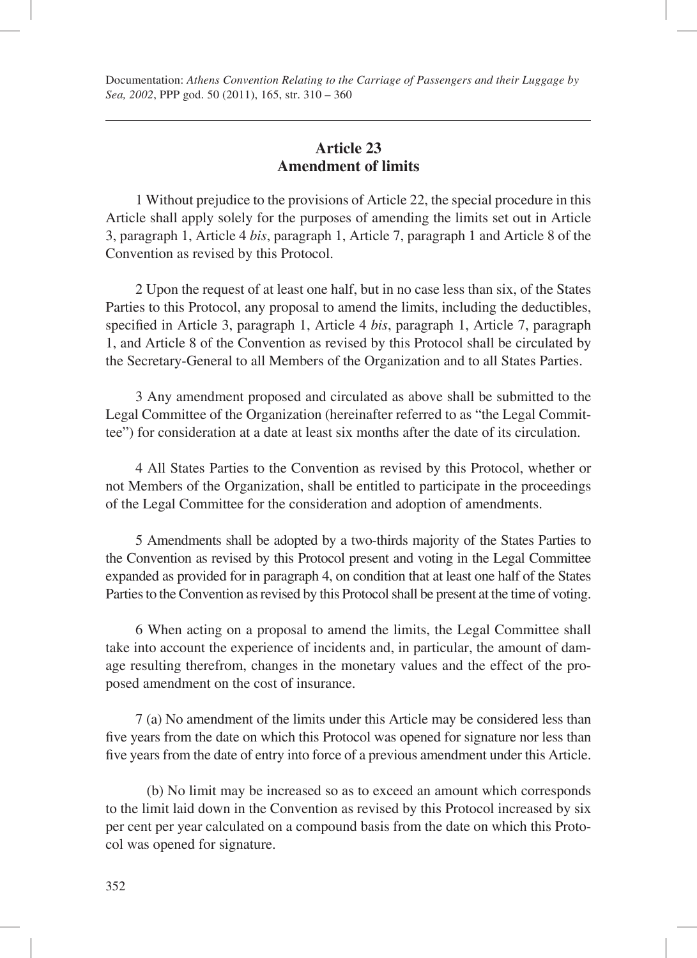#### **Article 23 Amendment of limits**

1 Without prejudice to the provisions of Article 22, the special procedure in this Article shall apply solely for the purposes of amending the limits set out in Article 3, paragraph 1, Article 4 *bis*, paragraph 1, Article 7, paragraph 1 and Article 8 of the Convention as revised by this Protocol.

2 Upon the request of at least one half, but in no case less than six, of the States Parties to this Protocol, any proposal to amend the limits, including the deductibles, specified in Article 3, paragraph 1, Article 4 *bis*, paragraph 1, Article 7, paragraph 1, and Article 8 of the Convention as revised by this Protocol shall be circulated by the Secretary-General to all Members of the Organization and to all States Parties.

3 Any amendment proposed and circulated as above shall be submitted to the Legal Committee of the Organization (hereinafter referred to as "the Legal Committee") for consideration at a date at least six months after the date of its circulation.

4 All States Parties to the Convention as revised by this Protocol, whether or not Members of the Organization, shall be entitled to participate in the proceedings of the Legal Committee for the consideration and adoption of amendments.

5 Amendments shall be adopted by a two-thirds majority of the States Parties to the Convention as revised by this Protocol present and voting in the Legal Committee expanded as provided for in paragraph 4, on condition that at least one half of the States Parties to the Convention as revised by this Protocol shall be present at the time of voting.

6 When acting on a proposal to amend the limits, the Legal Committee shall take into account the experience of incidents and, in particular, the amount of damage resulting therefrom, changes in the monetary values and the effect of the proposed amendment on the cost of insurance.

7 (a) No amendment of the limits under this Article may be considered less than five years from the date on which this Protocol was opened for signature nor less than five years from the date of entry into force of a previous amendment under this Article.

(b) No limit may be increased so as to exceed an amount which corresponds to the limit laid down in the Convention as revised by this Protocol increased by six per cent per year calculated on a compound basis from the date on which this Protocol was opened for signature.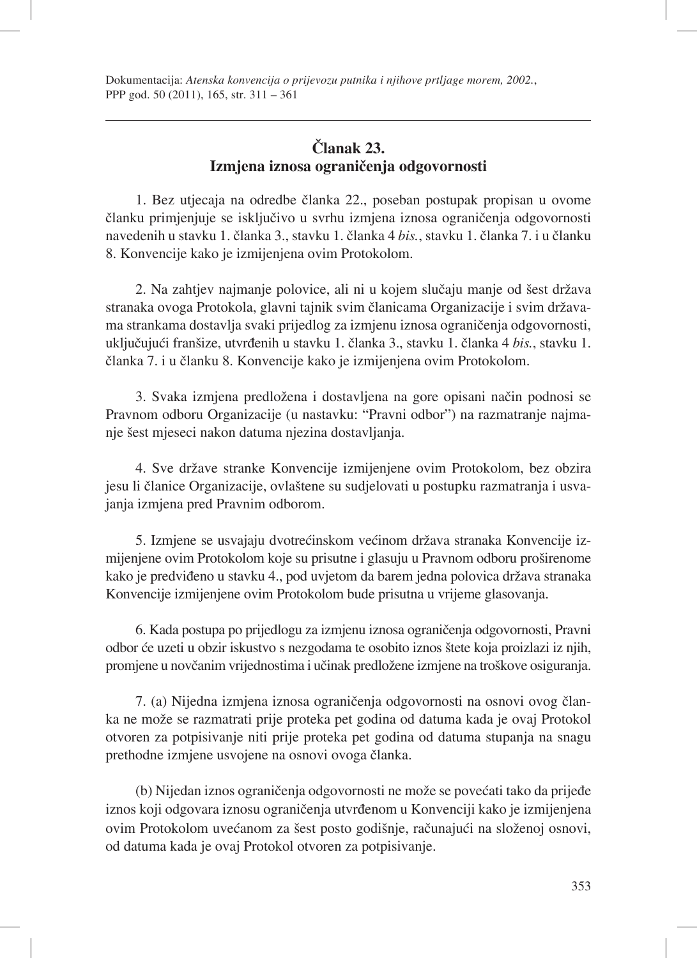### **Članak 23. Izmjena iznosa ograničenja odgovornosti**

1. Bez utjecaja na odredbe članka 22., poseban postupak propisan u ovome članku primjenjuje se isključivo u svrhu izmjena iznosa ograničenja odgovornosti navedenih u stavku 1. članka 3., stavku 1. članka 4 *bis.*, stavku 1. članka 7. i u članku 8. Konvencije kako je izmijenjena ovim Protokolom.

2. Na zahtjev najmanje polovice, ali ni u kojem slučaju manje od šest država stranaka ovoga Protokola, glavni tajnik svim članicama Organizacije i svim državama strankama dostavlja svaki prijedlog za izmjenu iznosa ograničenja odgovornosti, uključujući franšize, utvrđenih u stavku 1. članka 3., stavku 1. članka 4 *bis.*, stavku 1. članka 7. i u članku 8. Konvencije kako je izmijenjena ovim Protokolom.

3. Svaka izmjena predložena i dostavljena na gore opisani način podnosi se Pravnom odboru Organizacije (u nastavku: "Pravni odbor") na razmatranje najmanje šest mjeseci nakon datuma njezina dostavljanja.

4. Sve države stranke Konvencije izmijenjene ovim Protokolom, bez obzira jesu li članice Organizacije, ovlaštene su sudjelovati u postupku razmatranja i usvajanja izmjena pred Pravnim odborom.

5. Izmjene se usvajaju dvotrećinskom većinom država stranaka Konvencije izmijenjene ovim Protokolom koje su prisutne i glasuju u Pravnom odboru proširenome kako je predviđeno u stavku 4., pod uvjetom da barem jedna polovica država stranaka Konvencije izmijenjene ovim Protokolom bude prisutna u vrijeme glasovanja.

6. Kada postupa po prijedlogu za izmjenu iznosa ograničenja odgovornosti, Pravni odbor će uzeti u obzir iskustvo s nezgodama te osobito iznos štete koja proizlazi iz njih, promjene u novčanim vrijednostima i učinak predložene izmjene na troškove osiguranja.

7. (a) Nijedna izmjena iznosa ograničenja odgovornosti na osnovi ovog članka ne može se razmatrati prije proteka pet godina od datuma kada je ovaj Protokol otvoren za potpisivanje niti prije proteka pet godina od datuma stupanja na snagu prethodne izmjene usvojene na osnovi ovoga članka.

(b) Nijedan iznos ograničenja odgovornosti ne može se povećati tako da prijeđe iznos koji odgovara iznosu ograničenja utvrđenom u Konvenciji kako je izmijenjena ovim Protokolom uvećanom za šest posto godišnje, računajući na složenoj osnovi, od datuma kada je ovaj Protokol otvoren za potpisivanje.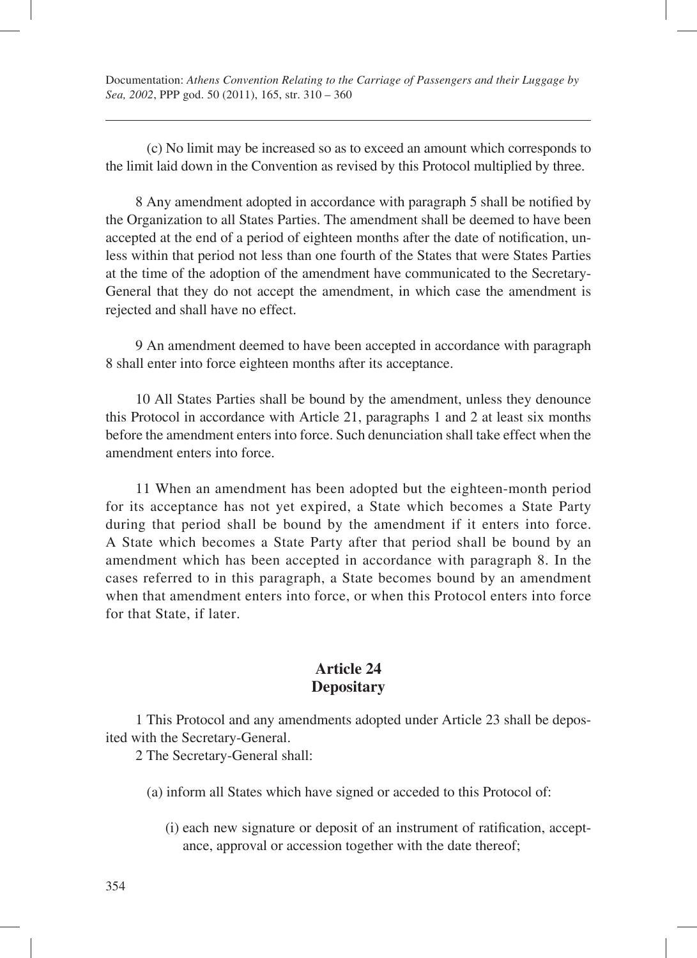(c) No limit may be increased so as to exceed an amount which corresponds to the limit laid down in the Convention as revised by this Protocol multiplied by three.

8 Any amendment adopted in accordance with paragraph 5 shall be notified by the Organization to all States Parties. The amendment shall be deemed to have been accepted at the end of a period of eighteen months after the date of notification, unless within that period not less than one fourth of the States that were States Parties at the time of the adoption of the amendment have communicated to the Secretary-General that they do not accept the amendment, in which case the amendment is rejected and shall have no effect.

9 An amendment deemed to have been accepted in accordance with paragraph 8 shall enter into force eighteen months after its acceptance.

10 All States Parties shall be bound by the amendment, unless they denounce this Protocol in accordance with Article 21, paragraphs 1 and 2 at least six months before the amendment enters into force. Such denunciation shall take effect when the amendment enters into force.

11 When an amendment has been adopted but the eighteen-month period for its acceptance has not yet expired, a State which becomes a State Party during that period shall be bound by the amendment if it enters into force. A State which becomes a State Party after that period shall be bound by an amendment which has been accepted in accordance with paragraph 8. In the cases referred to in this paragraph, a State becomes bound by an amendment when that amendment enters into force, or when this Protocol enters into force for that State, if later.

## **Article 24 Depositary**

1 This Protocol and any amendments adopted under Article 23 shall be deposited with the Secretary-General.

2 The Secretary-General shall:

- (a) inform all States which have signed or acceded to this Protocol of:
	- (i) each new signature or deposit of an instrument of ratification, acceptance, approval or accession together with the date thereof;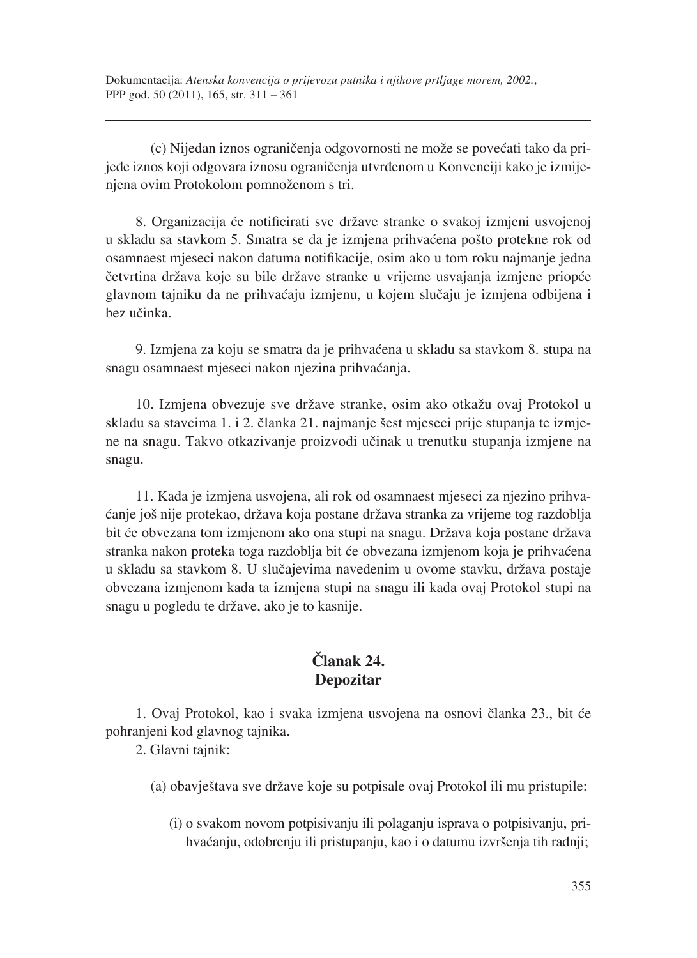(c) Nijedan iznos ograničenja odgovornosti ne može se povećati tako da prijeđe iznos koji odgovara iznosu ograničenja utvrđenom u Konvenciji kako je izmijenjena ovim Protokolom pomnoženom s tri.

8. Organizacija će notificirati sve države stranke o svakoj izmjeni usvojenoj u skladu sa stavkom 5. Smatra se da je izmjena prihvaćena pošto protekne rok od osamnaest mjeseci nakon datuma notifikacije, osim ako u tom roku najmanje jedna četvrtina država koje su bile države stranke u vrijeme usvajanja izmjene priopće glavnom tajniku da ne prihvaćaju izmjenu, u kojem slučaju je izmjena odbijena i bez učinka.

9. Izmjena za koju se smatra da je prihvaćena u skladu sa stavkom 8. stupa na snagu osamnaest mjeseci nakon njezina prihvaćanja.

10. Izmjena obvezuje sve države stranke, osim ako otkažu ovaj Protokol u skladu sa stavcima 1. i 2. članka 21. najmanje šest mjeseci prije stupanja te izmjene na snagu. Takvo otkazivanje proizvodi učinak u trenutku stupanja izmjene na snagu.

11. Kada je izmjena usvojena, ali rok od osamnaest mjeseci za njezino prihvaćanje još nije protekao, država koja postane država stranka za vrijeme tog razdoblja bit će obvezana tom izmjenom ako ona stupi na snagu. Država koja postane država stranka nakon proteka toga razdoblja bit će obvezana izmjenom koja je prihvaćena u skladu sa stavkom 8. U slučajevima navedenim u ovome stavku, država postaje obvezana izmjenom kada ta izmjena stupi na snagu ili kada ovaj Protokol stupi na snagu u pogledu te države, ako je to kasnije.

## **Članak 24. Depozitar**

1. Ovaj Protokol, kao i svaka izmjena usvojena na osnovi članka 23., bit će pohranjeni kod glavnog tajnika.

2. Glavni tajnik:

(a) obavještava sve države koje su potpisale ovaj Protokol ili mu pristupile:

(i) o svakom novom potpisivanju ili polaganju isprava o potpisivanju, prihvaćanju, odobrenju ili pristupanju, kao i o datumu izvršenja tih radnji;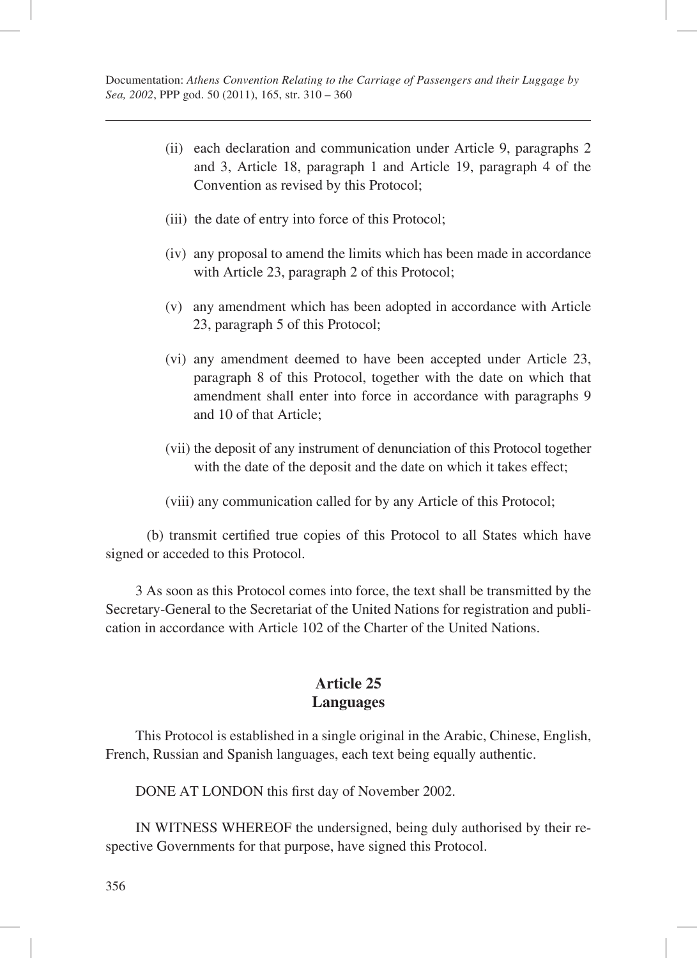- (ii) each declaration and communication under Article 9, paragraphs 2 and 3, Article 18, paragraph 1 and Article 19, paragraph 4 of the Convention as revised by this Protocol;
- (iii) the date of entry into force of this Protocol;
- (iv) any proposal to amend the limits which has been made in accordance with Article 23, paragraph 2 of this Protocol;
- (v) any amendment which has been adopted in accordance with Article 23, paragraph 5 of this Protocol;
- (vi) any amendment deemed to have been accepted under Article 23, paragraph 8 of this Protocol, together with the date on which that amendment shall enter into force in accordance with paragraphs 9 and 10 of that Article;
- (vii) the deposit of any instrument of denunciation of this Protocol together with the date of the deposit and the date on which it takes effect;

(viii) any communication called for by any Article of this Protocol;

(b) transmit certified true copies of this Protocol to all States which have signed or acceded to this Protocol.

3 As soon as this Protocol comes into force, the text shall be transmitted by the Secretary-General to the Secretariat of the United Nations for registration and publication in accordance with Article 102 of the Charter of the United Nations.

## **Article 25 Languages**

This Protocol is established in a single original in the Arabic, Chinese, English, French, Russian and Spanish languages, each text being equally authentic.

DONE AT LONDON this first day of November 2002.

IN WITNESS WHEREOF the undersigned, being duly authorised by their respective Governments for that purpose, have signed this Protocol.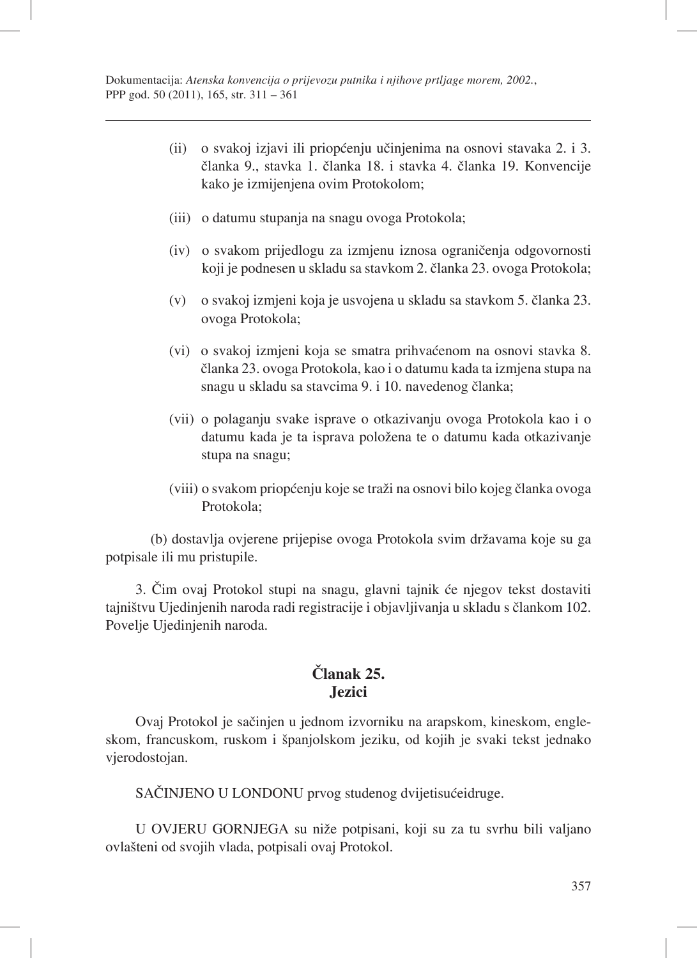- (ii) o svakoj izjavi ili priopćenju učinjenima na osnovi stavaka 2. i 3. članka 9., stavka 1. članka 18. i stavka 4. članka 19. Konvencije kako je izmijenjena ovim Protokolom;
- (iii) o datumu stupanja na snagu ovoga Protokola;
- (iv) o svakom prijedlogu za izmjenu iznosa ograničenja odgovornosti koji je podnesen u skladu sa stavkom 2. članka 23. ovoga Protokola;
- (v) o svakoj izmjeni koja je usvojena u skladu sa stavkom 5. članka 23. ovoga Protokola;
- (vi) o svakoj izmjeni koja se smatra prihvaćenom na osnovi stavka 8. članka 23. ovoga Protokola, kao i o datumu kada ta izmjena stupa na snagu u skladu sa stavcima 9. i 10. navedenog članka;
- (vii) o polaganju svake isprave o otkazivanju ovoga Protokola kao i o datumu kada je ta isprava položena te o datumu kada otkazivanje stupa na snagu;
- (viii) o svakom priopćenju koje se traži na osnovi bilo kojeg članka ovoga Protokola;

(b) dostavlja ovjerene prijepise ovoga Protokola svim državama koje su ga potpisale ili mu pristupile.

3. Čim ovaj Protokol stupi na snagu, glavni tajnik će njegov tekst dostaviti tajništvu Ujedinjenih naroda radi registracije i objavljivanja u skladu s člankom 102. Povelje Ujedinjenih naroda.

## **Članak 25. Jezici**

Ovaj Protokol je sačinjen u jednom izvorniku na arapskom, kineskom, engleskom, francuskom, ruskom i španjolskom jeziku, od kojih je svaki tekst jednako vjerodostojan.

SAČINJENO U LONDONU prvog studenog dvijetisućeidruge.

U OVJERU GORNJEGA su niže potpisani, koji su za tu svrhu bili valjano ovlašteni od svojih vlada, potpisali ovaj Protokol.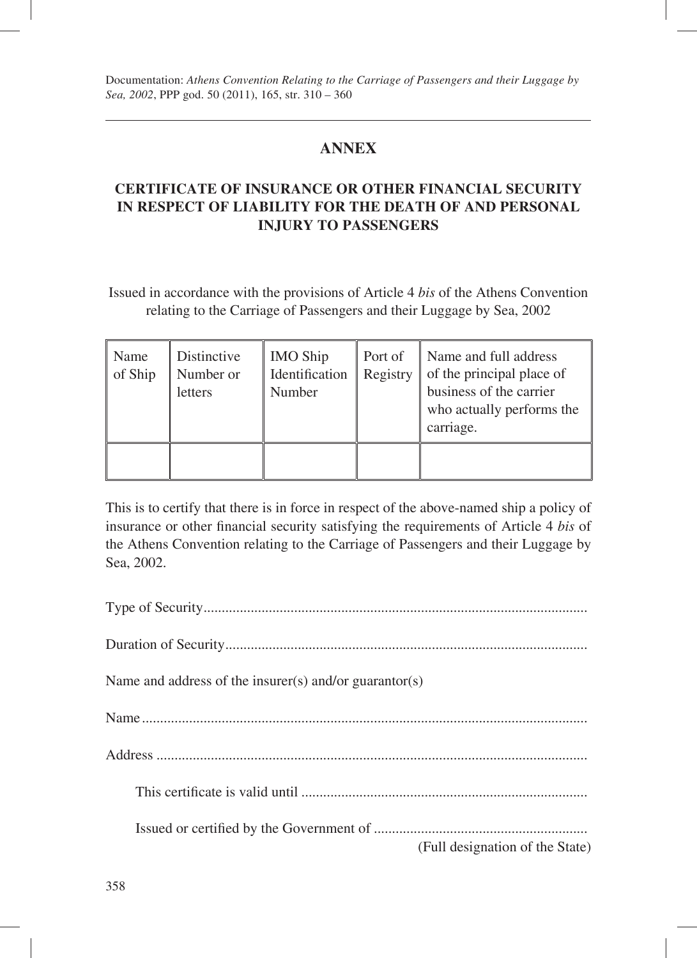Documentation: *Athens Convention Relating to the Carriage of Passengers and their Luggage by Sea, 2002*, PPP god. 50 (2011), 165, str. 310 – 360

#### **ANNEX**

#### **CERTIFICATE OF INSURANCE OR OTHER FINANCIAL SECURITY IN RESPECT OF LIABILITY FOR THE DEATH OF AND PERSONAL INJURY TO PASSENGERS**

Issued in accordance with the provisions of Article 4 *bis* of the Athens Convention relating to the Carriage of Passengers and their Luggage by Sea, 2002

| Name<br>of Ship | Distinctive<br>Number or<br>letters | <b>IMO Ship</b><br>Identification<br>Number | Port of<br>Registry | Name and full address<br>of the principal place of<br>business of the carrier<br>who actually performs the<br>carriage. |
|-----------------|-------------------------------------|---------------------------------------------|---------------------|-------------------------------------------------------------------------------------------------------------------------|
|                 |                                     |                                             |                     |                                                                                                                         |

This is to certify that there is in force in respect of the above-named ship a policy of insurance or other financial security satisfying the requirements of Article 4 *bis* of the Athens Convention relating to the Carriage of Passengers and their Luggage by Sea, 2002.

| Name and address of the insurer(s) and/or guarantor(s) |
|--------------------------------------------------------|
|                                                        |
|                                                        |
|                                                        |
| (Full designation of the State)                        |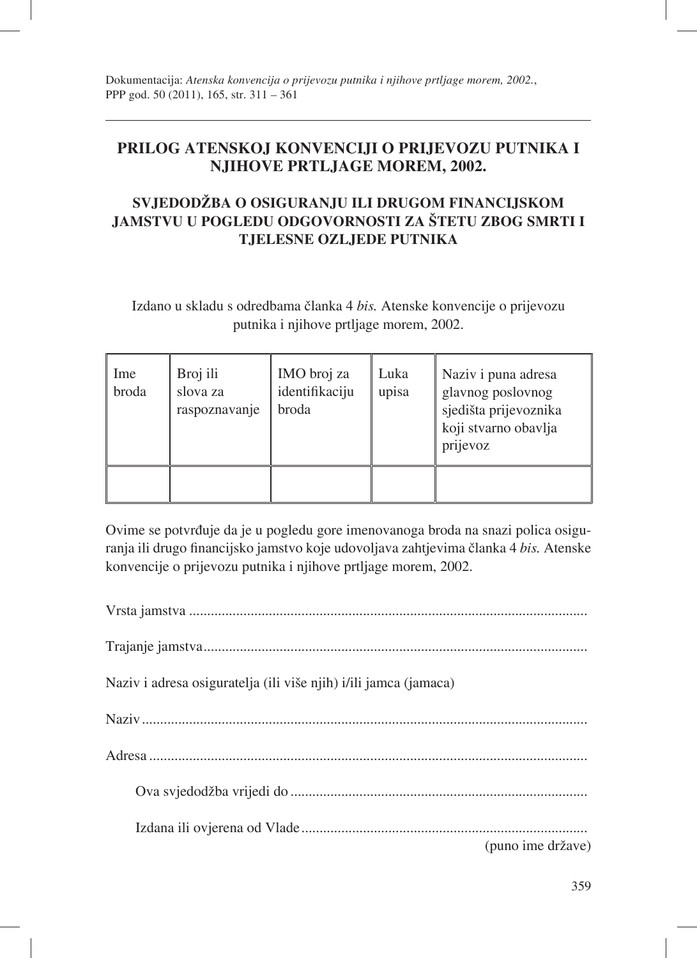### **PRILOG ATENSKOJ KONVENCIJI O PRIJEVOZU PUTNIKA I NJIHOVE PRTLJAGE MOREM, 2002.**

### **SVJEDODŽBA O OSIGURANJU ILI DRUGOM FINANCIJSKOM JAMSTVU U POGLEDU ODGOVORNOSTI ZA ŠTETU ZBOG SMRTI I TJELESNE OZLJEDE PUTNIKA**

Izdano u skladu s odredbama članka 4 *bis.* Atenske konvencije o prijevozu putnika i njihove prtljage morem, 2002.

| Ime<br>broda | Broj ili<br>slova za<br>raspoznavanje | IMO broj za<br>identifikaciju<br>broda | Luka<br>upisa | Naziv i puna adresa<br>glavnog poslovnog<br>sjedišta prijevoznika<br>koji stvarno obavlja<br>prijevoz |
|--------------|---------------------------------------|----------------------------------------|---------------|-------------------------------------------------------------------------------------------------------|
|              |                                       |                                        |               |                                                                                                       |

Ovime se potvrđuje da je u pogledu gore imenovanoga broda na snazi polica osiguranja ili drugo financijsko jamstvo koje udovoljava zahtjevima članka 4 *bis*. Atenske konvencije o prijevozu putnika i njihove prtljage morem, 2002.

Vrsta jamstva .............................................................................................................. Trajanje jamstva .......................................................................................................... Naziv i adresa osiguratelja (ili više njih) i/ili jamca (jamaca) Naziv ........................................................................................................................... Adresa ......................................................................................................................... Ova svjedodžba vrijedi do .................................................................................. Izdana ili ovjerena od Vlade ............................................................................... (puno ime države)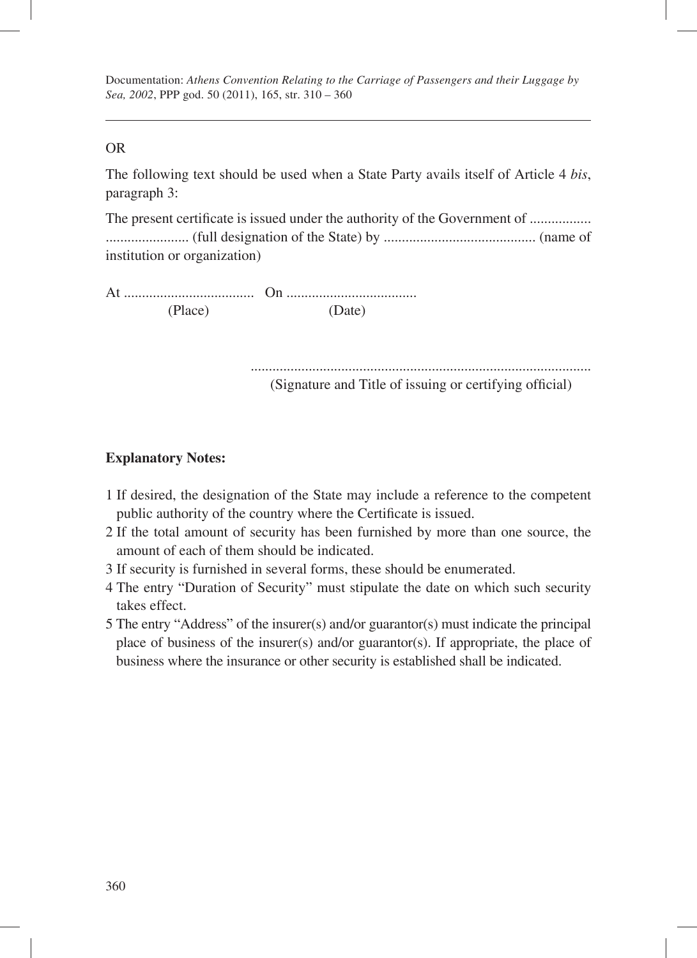Documentation: *Athens Convention Relating to the Carriage of Passengers and their Luggage by Sea, 2002*, PPP god. 50 (2011), 165, str. 310 – 360

#### OR

The following text should be used when a State Party avails itself of Article 4 *bis*, paragraph 3:

The present certifi cate is issued under the authority of the Government of ................. ....................... (full designation of the State) by .......................................... (name of institution or organization)

At .................................... On .................................... (Place) (Date)

> .............................................................................................. (Signature and Title of issuing or certifying official)

#### **Explanatory Notes:**

- 1 If desired, the designation of the State may include a reference to the competent public authority of the country where the Certificate is issued.
- 2 If the total amount of security has been furnished by more than one source, the amount of each of them should be indicated.
- 3 If security is furnished in several forms, these should be enumerated.
- 4 The entry "Duration of Security" must stipulate the date on which such security takes effect.
- 5 The entry "Address" of the insurer(s) and/or guarantor(s) must indicate the principal place of business of the insurer(s) and/or guarantor(s). If appropriate, the place of business where the insurance or other security is established shall be indicated.